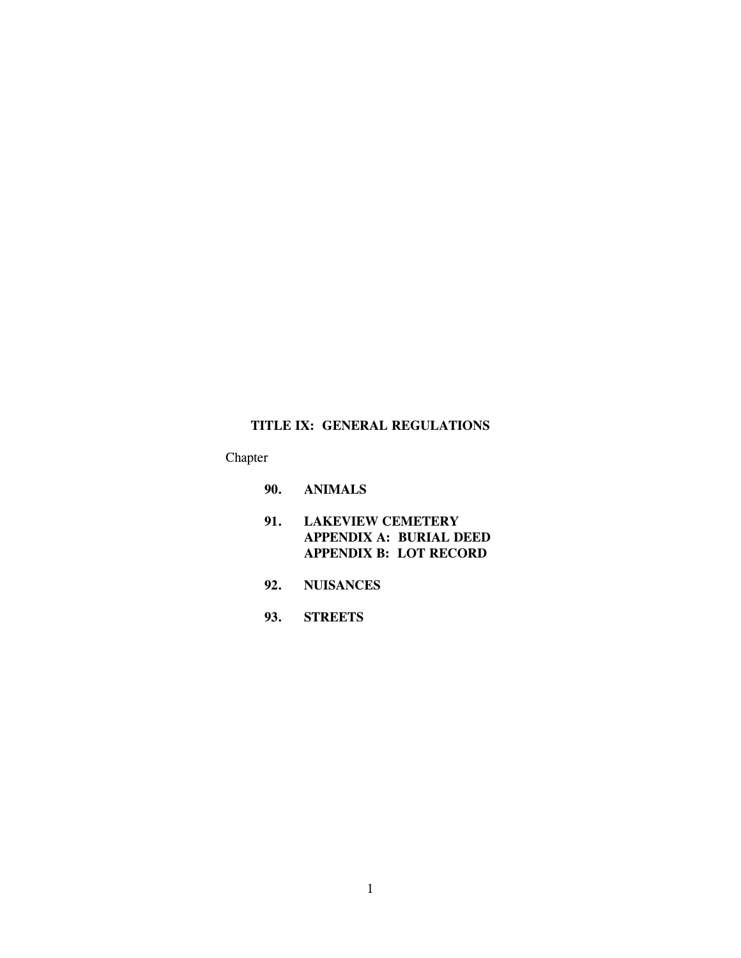# **TITLE IX: GENERAL REGULATIONS**

Chapter

- **90. ANIMALS**
- **91. LAKEVIEW CEMETERY APPENDIX A: BURIAL DEED APPENDIX B: LOT RECORD**
- **92. NUISANCES**
- **93. STREETS**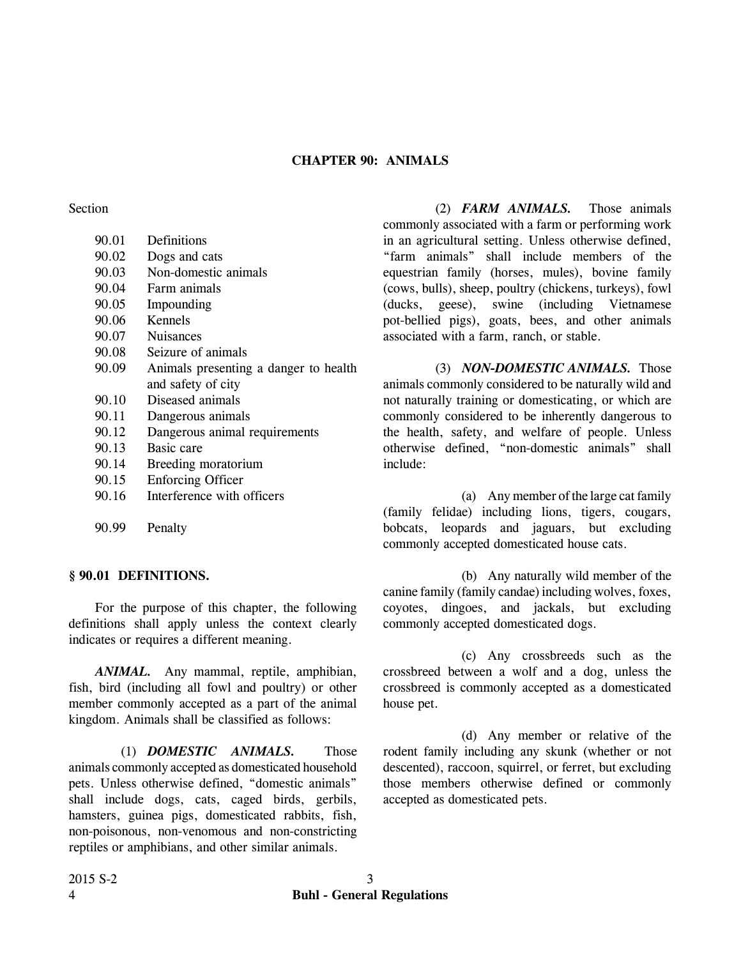# **CHAPTER 90: ANIMALS**

Section

| 90.01 | Definitions                           |
|-------|---------------------------------------|
|       |                                       |
| 90.02 | Dogs and cats                         |
| 90.03 | Non-domestic animals                  |
| 90.04 | Farm animals                          |
| 90.05 | Impounding                            |
| 90.06 | Kennels                               |
| 90.07 | <b>Nuisances</b>                      |
| 90.08 | Seizure of animals                    |
| 90.09 | Animals presenting a danger to health |
|       | and safety of city                    |
| 90.10 | Diseased animals                      |
| 90.11 | Dangerous animals                     |
| 90.12 | Dangerous animal requirements         |
| 90.13 | Basic care                            |
| 90.14 | Breeding moratorium                   |
| 90.15 | <b>Enforcing Officer</b>              |
| 90.16 | Interference with officers            |

90.99 Penalty

#### **§ 90.01 DEFINITIONS.**

For the purpose of this chapter, the following definitions shall apply unless the context clearly indicates or requires a different meaning.

*ANIMAL.* Any mammal, reptile, amphibian, fish, bird (including all fowl and poultry) or other member commonly accepted as a part of the animal kingdom. Animals shall be classified as follows:

(1) *DOMESTIC ANIMALS.* Those animals commonly accepted as domesticated household pets. Unless otherwise defined, "domestic animals" shall include dogs, cats, caged birds, gerbils, hamsters, guinea pigs, domesticated rabbits, fish, non-poisonous, non-venomous and non-constricting reptiles or amphibians, and other similar animals.

(2) *FARM ANIMALS.* Those animals commonly associated with a farm or performing work in an agricultural setting. Unless otherwise defined, "farm animals" shall include members of the equestrian family (horses, mules), bovine family (cows, bulls), sheep, poultry (chickens, turkeys), fowl (ducks, geese), swine (including Vietnamese pot-bellied pigs), goats, bees, and other animals associated with a farm, ranch, or stable.

(3) *NON-DOMESTIC ANIMALS.* Those animals commonly considered to be naturally wild and not naturally training or domesticating, or which are commonly considered to be inherently dangerous to the health, safety, and welfare of people. Unless otherwise defined, "non-domestic animals" shall include:

(a) Any member of the large cat family (family felidae) including lions, tigers, cougars, bobcats, leopards and jaguars, but excluding commonly accepted domesticated house cats.

(b) Any naturally wild member of the canine family (family candae) including wolves, foxes, coyotes, dingoes, and jackals, but excluding commonly accepted domesticated dogs.

(c) Any crossbreeds such as the crossbreed between a wolf and a dog, unless the crossbreed is commonly accepted as a domesticated house pet.

(d) Any member or relative of the rodent family including any skunk (whether or not descented), raccoon, squirrel, or ferret, but excluding those members otherwise defined or commonly accepted as domesticated pets.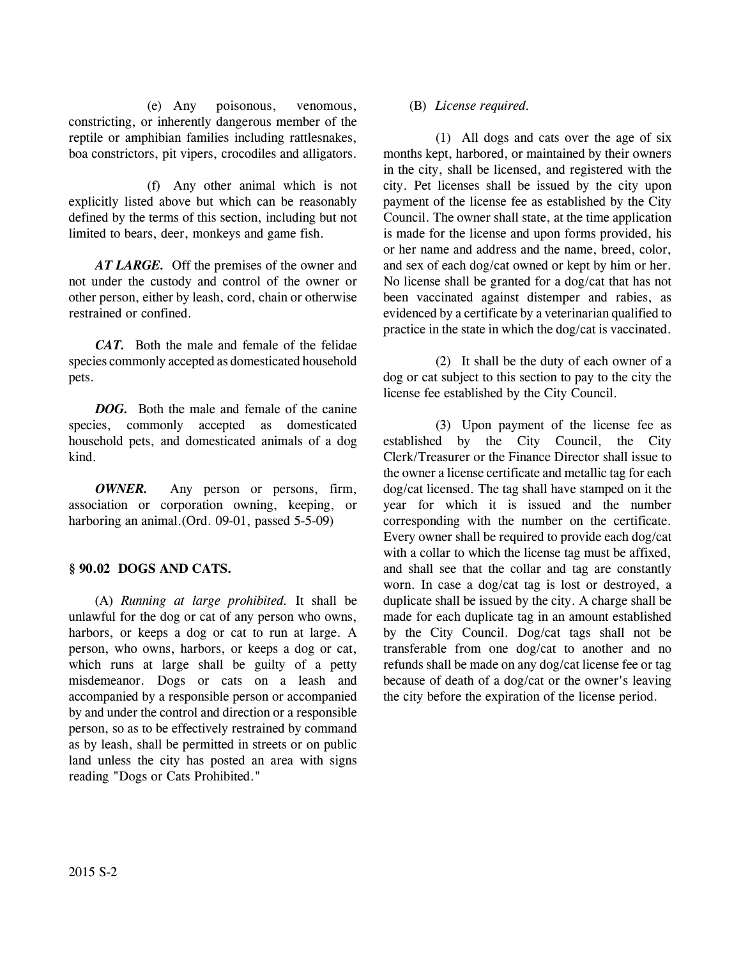(e) Any poisonous, venomous, constricting, or inherently dangerous member of the reptile or amphibian families including rattlesnakes, boa constrictors, pit vipers, crocodiles and alligators.

(f) Any other animal which is not explicitly listed above but which can be reasonably defined by the terms of this section, including but not limited to bears, deer, monkeys and game fish.

*AT LARGE.* Off the premises of the owner and not under the custody and control of the owner or other person, either by leash, cord, chain or otherwise restrained or confined.

*CAT.* Both the male and female of the felidae species commonly accepted as domesticated household pets.

*DOG.* Both the male and female of the canine species, commonly accepted as domesticated household pets, and domesticated animals of a dog kind.

*OWNER.* Any person or persons, firm, association or corporation owning, keeping, or harboring an animal. (Ord. 09-01, passed 5-5-09)

# **§ 90.02 DOGS AND CATS.**

(A) *Running at large prohibited.* It shall be unlawful for the dog or cat of any person who owns, harbors, or keeps a dog or cat to run at large. A person, who owns, harbors, or keeps a dog or cat, which runs at large shall be guilty of a petty misdemeanor. Dogs or cats on a leash and accompanied by a responsible person or accompanied by and under the control and direction or a responsible person, so as to be effectively restrained by command as by leash, shall be permitted in streets or on public land unless the city has posted an area with signs reading "Dogs or Cats Prohibited."

# (B) *License required.*

(1) All dogs and cats over the age of six months kept, harbored, or maintained by their owners in the city, shall be licensed, and registered with the city. Pet licenses shall be issued by the city upon payment of the license fee as established by the City Council. The owner shall state, at the time application is made for the license and upon forms provided, his or her name and address and the name, breed, color, and sex of each dog/cat owned or kept by him or her. No license shall be granted for a dog/cat that has not been vaccinated against distemper and rabies, as evidenced by a certificate by a veterinarian qualified to practice in the state in which the dog/cat is vaccinated.

(2) It shall be the duty of each owner of a dog or cat subject to this section to pay to the city the license fee established by the City Council.

(3) Upon payment of the license fee as established by the City Council, the City Clerk/Treasurer or the Finance Director shall issue to the owner a license certificate and metallic tag for each dog/cat licensed. The tag shall have stamped on it the year for which it is issued and the number corresponding with the number on the certificate. Every owner shall be required to provide each dog/cat with a collar to which the license tag must be affixed, and shall see that the collar and tag are constantly worn. In case a dog/cat tag is lost or destroyed, a duplicate shall be issued by the city. A charge shall be made for each duplicate tag in an amount established by the City Council. Dog/cat tags shall not be transferable from one dog/cat to another and no refunds shall be made on any dog/cat license fee or tag because of death of a dog/cat or the owner's leaving the city before the expiration of the license period.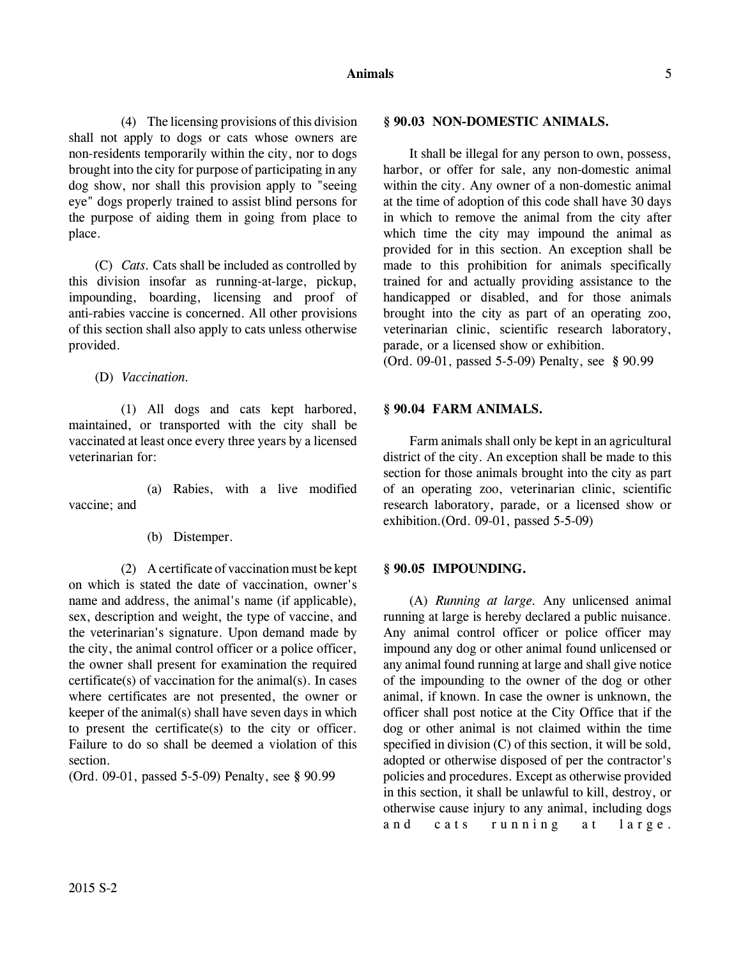(4) The licensing provisions of this division shall not apply to dogs or cats whose owners are non-residents temporarily within the city, nor to dogs brought into the city for purpose of participating in any dog show, nor shall this provision apply to "seeing eye" dogs properly trained to assist blind persons for the purpose of aiding them in going from place to place.

(C) *Cats.* Cats shall be included as controlled by this division insofar as running-at-large, pickup, impounding, boarding, licensing and proof of anti-rabies vaccine is concerned. All other provisions of this section shall also apply to cats unless otherwise provided.

(D) *Vaccination.*

(1) All dogs and cats kept harbored, maintained, or transported with the city shall be vaccinated at least once every three years by a licensed veterinarian for:

(a) Rabies, with a live modified vaccine; and

(b) Distemper.

(2) A certificate of vaccination must be kept on which is stated the date of vaccination, owner's name and address, the animal's name (if applicable), sex, description and weight, the type of vaccine, and the veterinarian's signature. Upon demand made by the city, the animal control officer or a police officer, the owner shall present for examination the required certificate(s) of vaccination for the animal(s). In cases where certificates are not presented, the owner or keeper of the animal(s) shall have seven days in which to present the certificate(s) to the city or officer. Failure to do so shall be deemed a violation of this section.

(Ord. 09-01, passed 5-5-09) Penalty, see **§** 90.99

## **§ 90.03 NON-DOMESTIC ANIMALS.**

It shall be illegal for any person to own, possess, harbor, or offer for sale, any non-domestic animal within the city. Any owner of a non-domestic animal at the time of adoption of this code shall have 30 days in which to remove the animal from the city after which time the city may impound the animal as provided for in this section. An exception shall be made to this prohibition for animals specifically trained for and actually providing assistance to the handicapped or disabled, and for those animals brought into the city as part of an operating zoo, veterinarian clinic, scientific research laboratory, parade, or a licensed show or exhibition.

(Ord. 09-01, passed 5-5-09) Penalty, see **§** 90.99

# **§ 90.04 FARM ANIMALS.**

Farm animals shall only be kept in an agricultural district of the city. An exception shall be made to this section for those animals brought into the city as part of an operating zoo, veterinarian clinic, scientific research laboratory, parade, or a licensed show or exhibition.(Ord. 09-01, passed 5-5-09)

## **§ 90.05 IMPOUNDING.**

(A) *Running at large.* Any unlicensed animal running at large is hereby declared a public nuisance. Any animal control officer or police officer may impound any dog or other animal found unlicensed or any animal found running at large and shall give notice of the impounding to the owner of the dog or other animal, if known. In case the owner is unknown, the officer shall post notice at the City Office that if the dog or other animal is not claimed within the time specified in division (C) of this section, it will be sold, adopted or otherwise disposed of per the contractor's policies and procedures. Except as otherwise provided in this section, it shall be unlawful to kill, destroy, or otherwise cause injury to any animal, including dogs and cats running at large.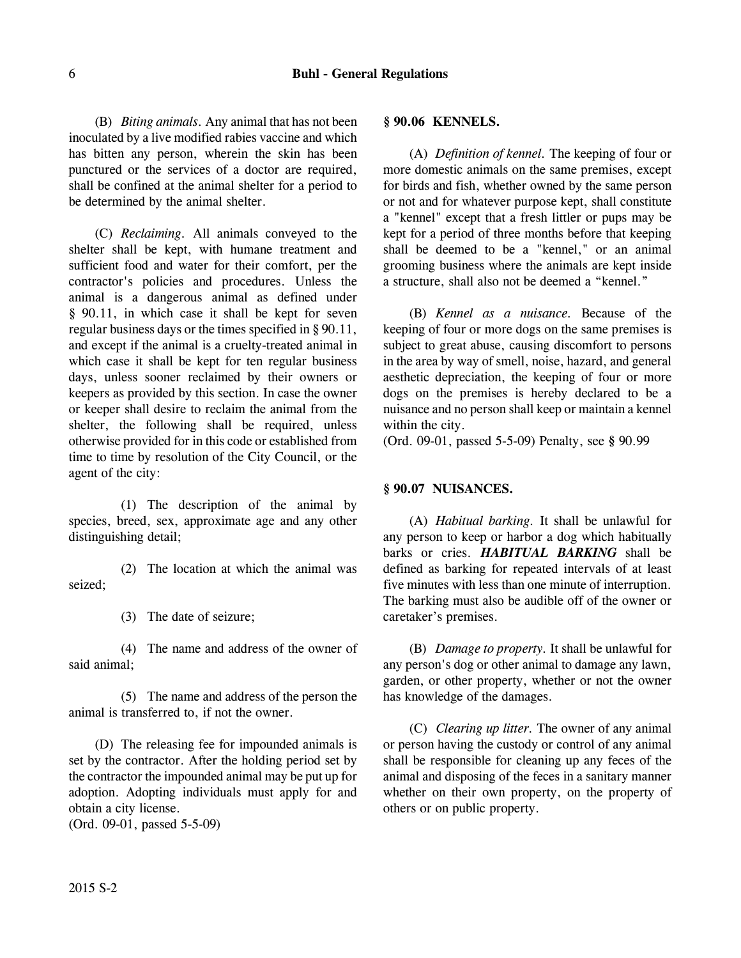(B) *Biting animals.* Any animal that has not been inoculated by a live modified rabies vaccine and which has bitten any person, wherein the skin has been punctured or the services of a doctor are required, shall be confined at the animal shelter for a period to be determined by the animal shelter.

(C) *Reclaiming.* All animals conveyed to the shelter shall be kept, with humane treatment and sufficient food and water for their comfort, per the contractor's policies and procedures. Unless the animal is a dangerous animal as defined under § 90.11, in which case it shall be kept for seven regular business days or the times specified in § 90.11, and except if the animal is a cruelty-treated animal in which case it shall be kept for ten regular business days, unless sooner reclaimed by their owners or keepers as provided by this section. In case the owner or keeper shall desire to reclaim the animal from the shelter, the following shall be required, unless otherwise provided for in this code or established from time to time by resolution of the City Council, or the agent of the city:

(1) The description of the animal by species, breed, sex, approximate age and any other distinguishing detail;

(2) The location at which the animal was seized;

(3) The date of seizure;

(4) The name and address of the owner of said animal;

(5) The name and address of the person the animal is transferred to, if not the owner.

(D) The releasing fee for impounded animals is set by the contractor. After the holding period set by the contractor the impounded animal may be put up for adoption. Adopting individuals must apply for and obtain a city license.

(Ord. 09-01, passed 5-5-09)

#### **§ 90.06 KENNELS.**

(A) *Definition of kennel.* The keeping of four or more domestic animals on the same premises, except for birds and fish, whether owned by the same person or not and for whatever purpose kept, shall constitute a "kennel" except that a fresh littler or pups may be kept for a period of three months before that keeping shall be deemed to be a "kennel," or an animal grooming business where the animals are kept inside a structure, shall also not be deemed a "kennel."

(B) *Kennel as a nuisance.* Because of the keeping of four or more dogs on the same premises is subject to great abuse, causing discomfort to persons in the area by way of smell, noise, hazard, and general aesthetic depreciation, the keeping of four or more dogs on the premises is hereby declared to be a nuisance and no person shall keep or maintain a kennel within the city.

(Ord. 09-01, passed 5-5-09) Penalty, see **§** 90.99

#### **§ 90.07 NUISANCES.**

(A) *Habitual barking.* It shall be unlawful for any person to keep or harbor a dog which habitually barks or cries. *HABITUAL BARKING* shall be defined as barking for repeated intervals of at least five minutes with less than one minute of interruption. The barking must also be audible off of the owner or caretaker's premises.

(B) *Damage to property.* It shall be unlawful for any person's dog or other animal to damage any lawn, garden, or other property, whether or not the owner has knowledge of the damages.

(C) *Clearing up litter.* The owner of any animal or person having the custody or control of any animal shall be responsible for cleaning up any feces of the animal and disposing of the feces in a sanitary manner whether on their own property, on the property of others or on public property.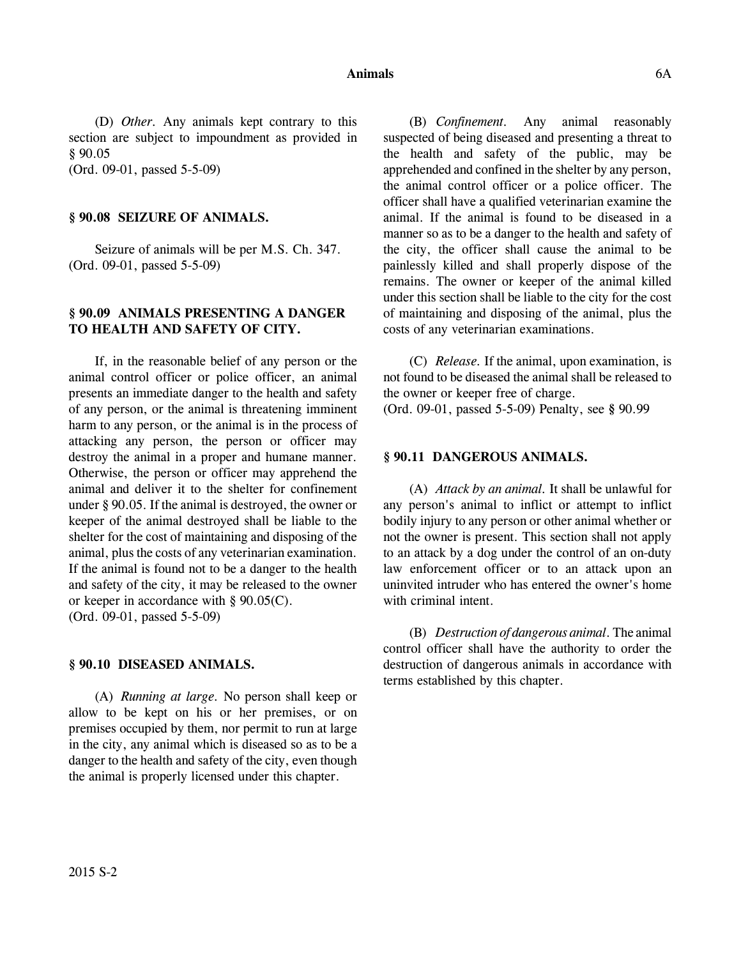#### **Animals** 6A

(D) *Other.* Any animals kept contrary to this section are subject to impoundment as provided in § 90.05

(Ord. 09-01, passed 5-5-09)

### **§ 90.08 SEIZURE OF ANIMALS.**

Seizure of animals will be per M.S. Ch. 347. (Ord. 09-01, passed 5-5-09)

# **§ 90.09 ANIMALS PRESENTING A DANGER TO HEALTH AND SAFETY OF CITY.**

If, in the reasonable belief of any person or the animal control officer or police officer, an animal presents an immediate danger to the health and safety of any person, or the animal is threatening imminent harm to any person, or the animal is in the process of attacking any person, the person or officer may destroy the animal in a proper and humane manner. Otherwise, the person or officer may apprehend the animal and deliver it to the shelter for confinement under § 90.05. If the animal is destroyed, the owner or keeper of the animal destroyed shall be liable to the shelter for the cost of maintaining and disposing of the animal, plus the costs of any veterinarian examination. If the animal is found not to be a danger to the health and safety of the city, it may be released to the owner or keeper in accordance with § 90.05(C). (Ord. 09-01, passed 5-5-09)

### **§ 90.10 DISEASED ANIMALS.**

(A) *Running at large.* No person shall keep or allow to be kept on his or her premises, or on premises occupied by them, nor permit to run at large in the city, any animal which is diseased so as to be a danger to the health and safety of the city, even though the animal is properly licensed under this chapter.

(B) *Confinement.* Any animal reasonably suspected of being diseased and presenting a threat to the health and safety of the public, may be apprehended and confined in the shelter by any person, the animal control officer or a police officer. The officer shall have a qualified veterinarian examine the animal. If the animal is found to be diseased in a manner so as to be a danger to the health and safety of the city, the officer shall cause the animal to be painlessly killed and shall properly dispose of the remains. The owner or keeper of the animal killed under this section shall be liable to the city for the cost of maintaining and disposing of the animal, plus the costs of any veterinarian examinations.

(C) *Release.* If the animal, upon examination, is not found to be diseased the animal shall be released to the owner or keeper free of charge.

(Ord. 09-01, passed 5-5-09) Penalty, see **§** 90.99

### **§ 90.11 DANGEROUS ANIMALS.**

(A) *Attack by an animal.* It shall be unlawful for any person's animal to inflict or attempt to inflict bodily injury to any person or other animal whether or not the owner is present. This section shall not apply to an attack by a dog under the control of an on-duty law enforcement officer or to an attack upon an uninvited intruder who has entered the owner's home with criminal intent.

(B) *Destruction of dangerous animal*. The animal control officer shall have the authority to order the destruction of dangerous animals in accordance with terms established by this chapter.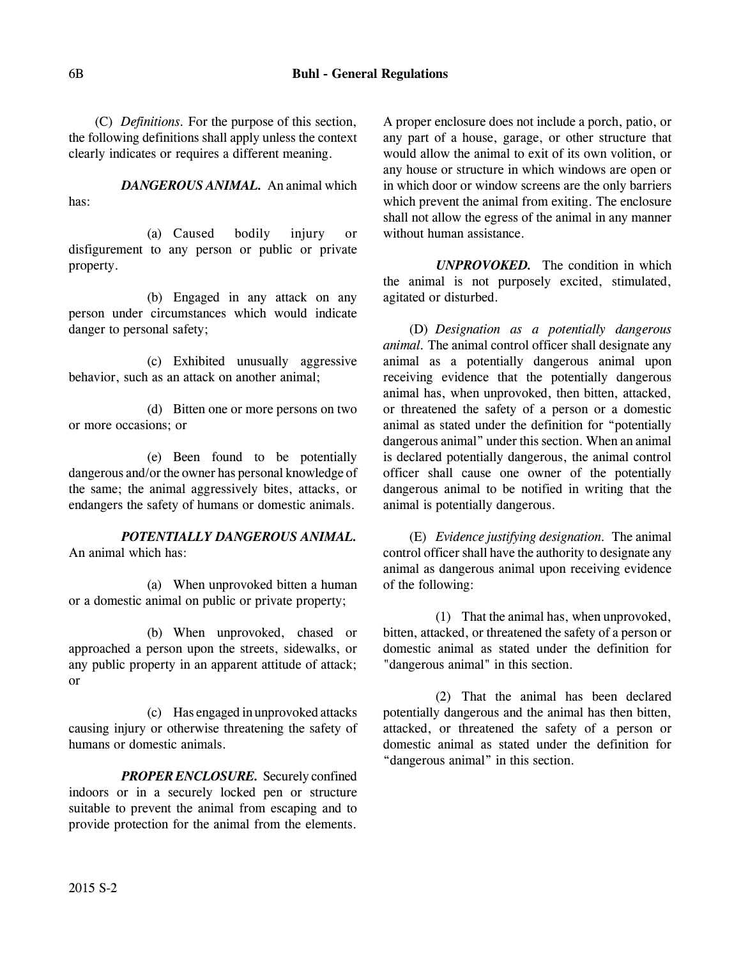(C) *Definitions.* For the purpose of this section, the following definitions shall apply unless the context clearly indicates or requires a different meaning.

*DANGEROUS ANIMAL.* An animal which has:

(a) Caused bodily injury or disfigurement to any person or public or private property.

(b) Engaged in any attack on any person under circumstances which would indicate danger to personal safety;

(c) Exhibited unusually aggressive behavior, such as an attack on another animal;

(d) Bitten one or more persons on two or more occasions; or

(e) Been found to be potentially dangerous and/or the owner has personal knowledge of the same; the animal aggressively bites, attacks, or endangers the safety of humans or domestic animals.

*POTENTIALLY DANGEROUS ANIMAL.* An animal which has:

(a) When unprovoked bitten a human or a domestic animal on public or private property;

(b) When unprovoked, chased or approached a person upon the streets, sidewalks, or any public property in an apparent attitude of attack; or

(c) Has engaged in unprovoked attacks causing injury or otherwise threatening the safety of humans or domestic animals.

*PROPER ENCLOSURE.* Securely confined indoors or in a securely locked pen or structure suitable to prevent the animal from escaping and to provide protection for the animal from the elements.

A proper enclosure does not include a porch, patio, or any part of a house, garage, or other structure that would allow the animal to exit of its own volition, or any house or structure in which windows are open or in which door or window screens are the only barriers which prevent the animal from exiting. The enclosure shall not allow the egress of the animal in any manner without human assistance.

*UNPROVOKED.* The condition in which the animal is not purposely excited, stimulated, agitated or disturbed.

(D) *Designation as a potentially dangerous animal.* The animal control officer shall designate any animal as a potentially dangerous animal upon receiving evidence that the potentially dangerous animal has, when unprovoked, then bitten, attacked, or threatened the safety of a person or a domestic animal as stated under the definition for "potentially dangerous animal" under this section. When an animal is declared potentially dangerous, the animal control officer shall cause one owner of the potentially dangerous animal to be notified in writing that the animal is potentially dangerous.

(E) *Evidence justifying designation.* The animal control officer shall have the authority to designate any animal as dangerous animal upon receiving evidence of the following:

(1) That the animal has, when unprovoked, bitten, attacked, or threatened the safety of a person or domestic animal as stated under the definition for "dangerous animal" in this section.

(2) That the animal has been declared potentially dangerous and the animal has then bitten, attacked, or threatened the safety of a person or domestic animal as stated under the definition for "dangerous animal" in this section.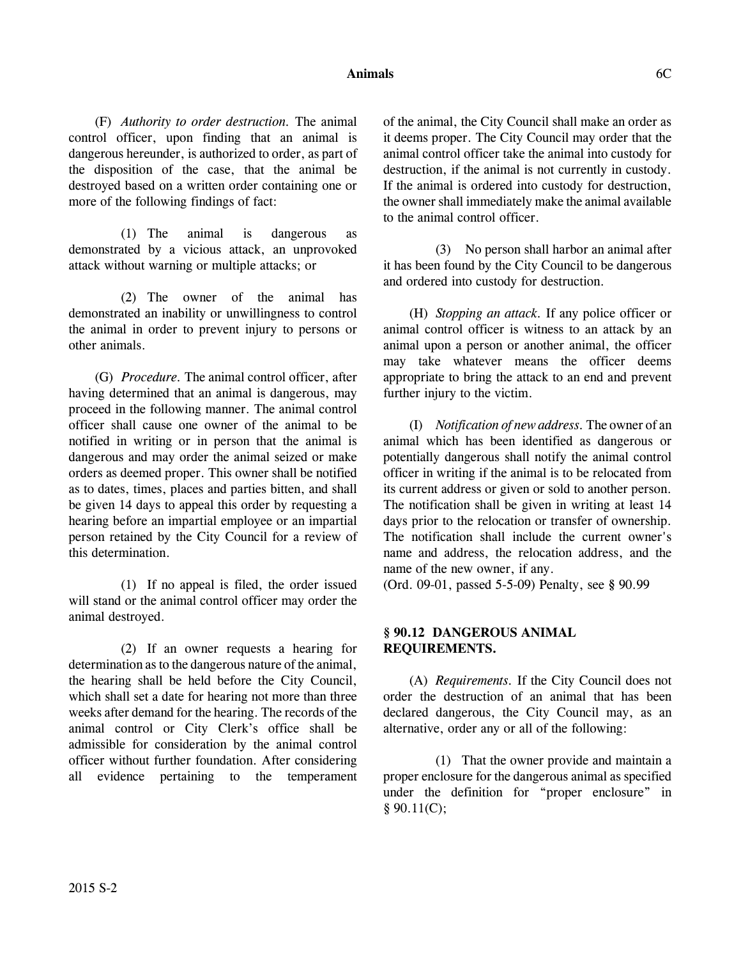### **Animals** 6C

(F) *Authority to order destruction.* The animal control officer, upon finding that an animal is dangerous hereunder, is authorized to order, as part of the disposition of the case, that the animal be destroyed based on a written order containing one or more of the following findings of fact:

(1) The animal is dangerous as demonstrated by a vicious attack, an unprovoked attack without warning or multiple attacks; or

(2) The owner of the animal has demonstrated an inability or unwillingness to control the animal in order to prevent injury to persons or other animals.

(G) *Procedure.* The animal control officer, after having determined that an animal is dangerous, may proceed in the following manner. The animal control officer shall cause one owner of the animal to be notified in writing or in person that the animal is dangerous and may order the animal seized or make orders as deemed proper. This owner shall be notified as to dates, times, places and parties bitten, and shall be given 14 days to appeal this order by requesting a hearing before an impartial employee or an impartial person retained by the City Council for a review of this determination.

(1) If no appeal is filed, the order issued will stand or the animal control officer may order the animal destroyed.

(2) If an owner requests a hearing for determination as to the dangerous nature of the animal, the hearing shall be held before the City Council, which shall set a date for hearing not more than three weeks after demand for the hearing. The records of the animal control or City Clerk's office shall be admissible for consideration by the animal control officer without further foundation. After considering all evidence pertaining to the temperament of the animal, the City Council shall make an order as it deems proper. The City Council may order that the animal control officer take the animal into custody for destruction, if the animal is not currently in custody. If the animal is ordered into custody for destruction, the owner shall immediately make the animal available to the animal control officer.

(3) No person shall harbor an animal after it has been found by the City Council to be dangerous and ordered into custody for destruction.

(H) *Stopping an attack.* If any police officer or animal control officer is witness to an attack by an animal upon a person or another animal, the officer may take whatever means the officer deems appropriate to bring the attack to an end and prevent further injury to the victim.

(I) *Notification of new address.* The owner of an animal which has been identified as dangerous or potentially dangerous shall notify the animal control officer in writing if the animal is to be relocated from its current address or given or sold to another person. The notification shall be given in writing at least 14 days prior to the relocation or transfer of ownership. The notification shall include the current owner's name and address, the relocation address, and the name of the new owner, if any.

(Ord. 09-01, passed 5-5-09) Penalty, see **§** 90.99

# **§ 90.12 DANGEROUS ANIMAL REQUIREMENTS.**

(A) *Requirements.* If the City Council does not order the destruction of an animal that has been declared dangerous, the City Council may, as an alternative, order any or all of the following:

(1) That the owner provide and maintain a proper enclosure for the dangerous animal as specified under the definition for "proper enclosure" in  $§ 90.11(C);$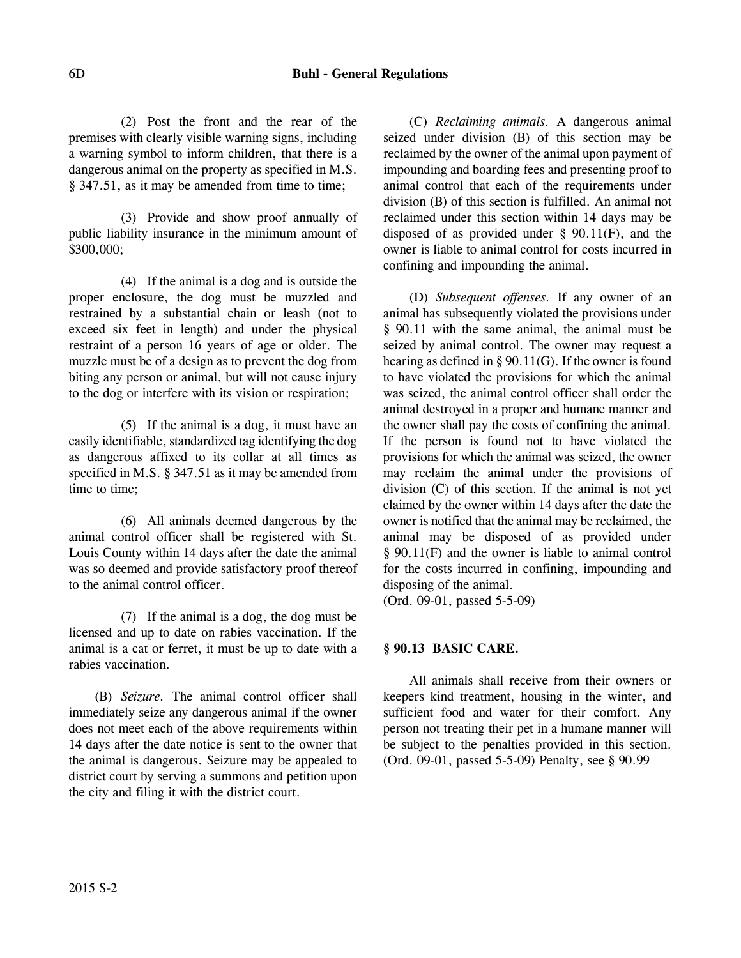(2) Post the front and the rear of the premises with clearly visible warning signs, including a warning symbol to inform children, that there is a dangerous animal on the property as specified in M.S. § 347.51, as it may be amended from time to time;

(3) Provide and show proof annually of public liability insurance in the minimum amount of \$300,000;

(4) If the animal is a dog and is outside the proper enclosure, the dog must be muzzled and restrained by a substantial chain or leash (not to exceed six feet in length) and under the physical restraint of a person 16 years of age or older. The muzzle must be of a design as to prevent the dog from biting any person or animal, but will not cause injury to the dog or interfere with its vision or respiration;

(5) If the animal is a dog, it must have an easily identifiable, standardized tag identifying the dog as dangerous affixed to its collar at all times as specified in M.S. § 347.51 as it may be amended from time to time;

(6) All animals deemed dangerous by the animal control officer shall be registered with St. Louis County within 14 days after the date the animal was so deemed and provide satisfactory proof thereof to the animal control officer.

(7) If the animal is a dog, the dog must be licensed and up to date on rabies vaccination. If the animal is a cat or ferret, it must be up to date with a rabies vaccination.

(B) *Seizure.* The animal control officer shall immediately seize any dangerous animal if the owner does not meet each of the above requirements within 14 days after the date notice is sent to the owner that the animal is dangerous. Seizure may be appealed to district court by serving a summons and petition upon the city and filing it with the district court.

(C) *Reclaiming animals.* A dangerous animal seized under division (B) of this section may be reclaimed by the owner of the animal upon payment of impounding and boarding fees and presenting proof to animal control that each of the requirements under division (B) of this section is fulfilled. An animal not reclaimed under this section within 14 days may be disposed of as provided under § 90.11(F), and the owner is liable to animal control for costs incurred in confining and impounding the animal.

(D) *Subsequent offenses.* If any owner of an animal has subsequently violated the provisions under § 90.11 with the same animal, the animal must be seized by animal control. The owner may request a hearing as defined in § 90.11(G). If the owner is found to have violated the provisions for which the animal was seized, the animal control officer shall order the animal destroyed in a proper and humane manner and the owner shall pay the costs of confining the animal. If the person is found not to have violated the provisions for which the animal was seized, the owner may reclaim the animal under the provisions of division (C) of this section. If the animal is not yet claimed by the owner within 14 days after the date the owner is notified that the animal may be reclaimed, the animal may be disposed of as provided under § 90.11(F) and the owner is liable to animal control for the costs incurred in confining, impounding and disposing of the animal.

(Ord. 09-01, passed 5-5-09)

# **§ 90.13 BASIC CARE.**

All animals shall receive from their owners or keepers kind treatment, housing in the winter, and sufficient food and water for their comfort. Any person not treating their pet in a humane manner will be subject to the penalties provided in this section. (Ord. 09-01, passed 5-5-09) Penalty, see § 90.99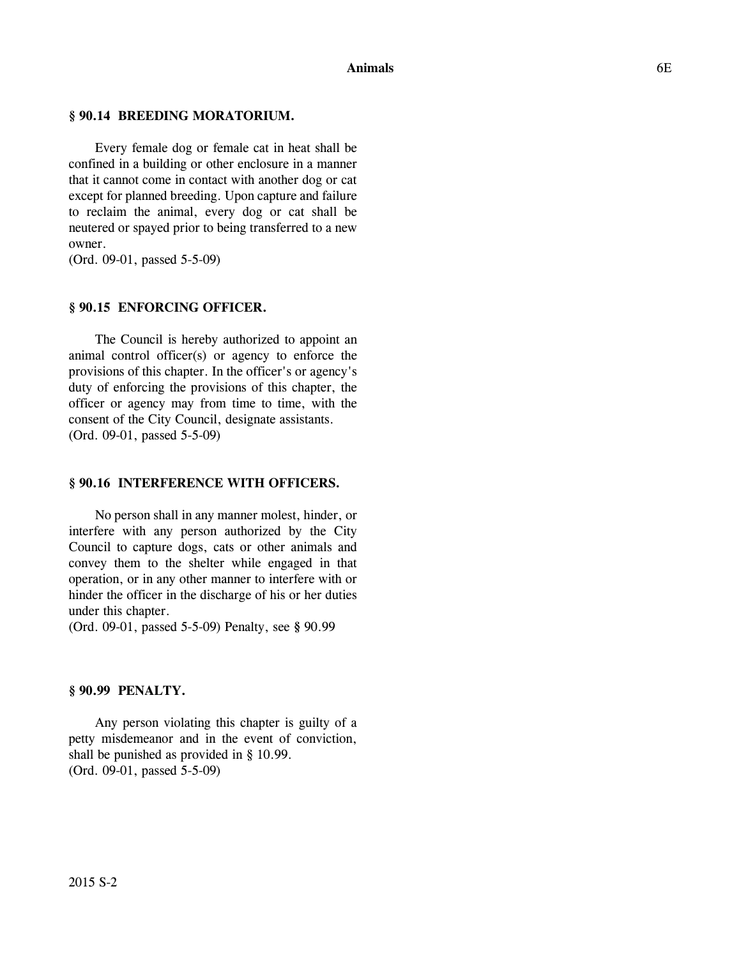### **§ 90.14 BREEDING MORATORIUM.**

Every female dog or female cat in heat shall be confined in a building or other enclosure in a manner that it cannot come in contact with another dog or cat except for planned breeding. Upon capture and failure to reclaim the animal, every dog or cat shall be neutered or spayed prior to being transferred to a new owner.

(Ord. 09-01, passed 5-5-09)

### **§ 90.15 ENFORCING OFFICER.**

The Council is hereby authorized to appoint an animal control officer(s) or agency to enforce the provisions of this chapter. In the officer's or agency's duty of enforcing the provisions of this chapter, the officer or agency may from time to time, with the consent of the City Council, designate assistants. (Ord. 09-01, passed 5-5-09)

#### **§ 90.16 INTERFERENCE WITH OFFICERS.**

No person shall in any manner molest, hinder, or interfere with any person authorized by the City Council to capture dogs, cats or other animals and convey them to the shelter while engaged in that operation, or in any other manner to interfere with or hinder the officer in the discharge of his or her duties under this chapter.

(Ord. 09-01, passed 5-5-09) Penalty, see **§** 90.99

#### **§ 90.99 PENALTY.**

Any person violating this chapter is guilty of a petty misdemeanor and in the event of conviction, shall be punished as provided in § 10.99. (Ord. 09-01, passed 5-5-09)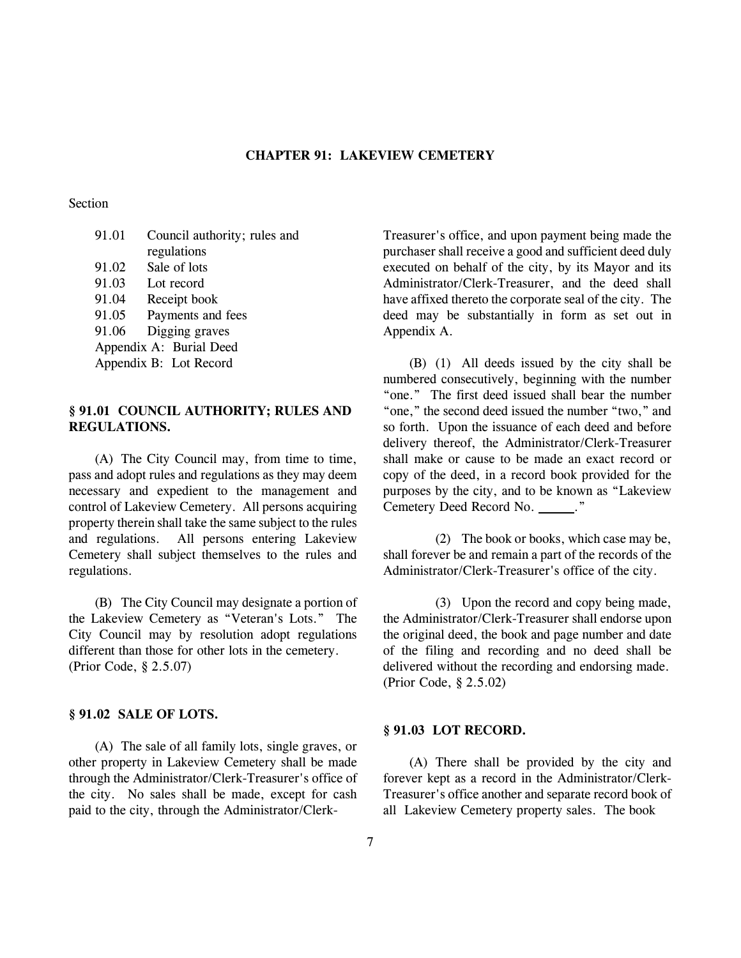### **CHAPTER 91: LAKEVIEW CEMETERY**

### Section

| 91.01 | Council authority; rules and |
|-------|------------------------------|
|       | regulations                  |
| 91.02 | Sale of lots                 |
| 91.03 | Lot record                   |
| 91.04 | Receipt book                 |
| 91.05 | Payments and fees            |
| 91.06 | Digging graves               |
|       | Appendix A: Burial Deed      |
|       | Appendix B: Lot Record       |
|       |                              |

### **§ 91.01 COUNCIL AUTHORITY; RULES AND REGULATIONS.**

(A) The City Council may, from time to time, pass and adopt rules and regulations as they may deem necessary and expedient to the management and control of Lakeview Cemetery. All persons acquiring property therein shall take the same subject to the rules and regulations. All persons entering Lakeview Cemetery shall subject themselves to the rules and regulations.

(B) The City Council may designate a portion of the Lakeview Cemetery as "Veteran's Lots." The City Council may by resolution adopt regulations different than those for other lots in the cemetery. (Prior Code, § 2.5.07)

# **§ 91.02 SALE OF LOTS.**

(A) The sale of all family lots, single graves, or other property in Lakeview Cemetery shall be made through the Administrator/Clerk-Treasurer's office of the city. No sales shall be made, except for cash paid to the city, through the Administrator/ClerkTreasurer's office, and upon payment being made the purchaser shall receive a good and sufficient deed duly executed on behalf of the city, by its Mayor and its Administrator/Clerk-Treasurer, and the deed shall have affixed thereto the corporate seal of the city. The deed may be substantially in form as set out in Appendix A.

(B) (1) All deeds issued by the city shall be numbered consecutively, beginning with the number "one." The first deed issued shall bear the number "one," the second deed issued the number "two," and so forth. Upon the issuance of each deed and before delivery thereof, the Administrator/Clerk-Treasurer shall make or cause to be made an exact record or copy of the deed, in a record book provided for the purposes by the city, and to be known as "Lakeview Cemetery Deed Record No. \_\_\_\_\_."

(2) The book or books, which case may be, shall forever be and remain a part of the records of the Administrator/Clerk-Treasurer's office of the city.

(3) Upon the record and copy being made, the Administrator/Clerk-Treasurer shall endorse upon the original deed, the book and page number and date of the filing and recording and no deed shall be delivered without the recording and endorsing made. (Prior Code, § 2.5.02)

### **§ 91.03 LOT RECORD.**

(A) There shall be provided by the city and forever kept as a record in the Administrator/Clerk-Treasurer's office another and separate record book of all Lakeview Cemetery property sales. The book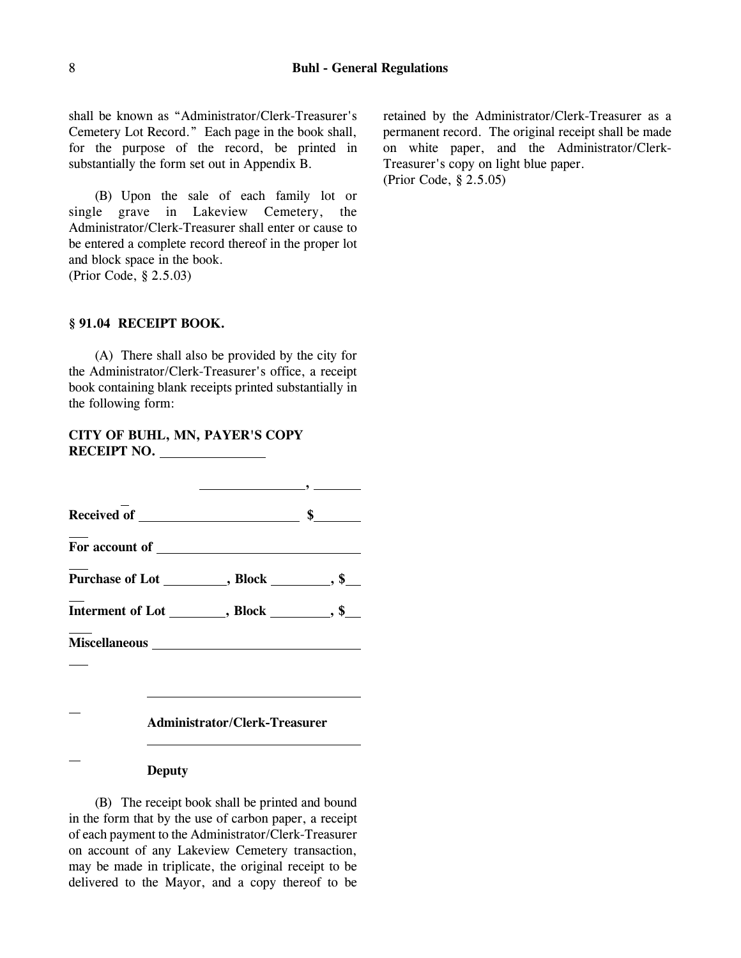shall be known as "Administrator/Clerk-Treasurer's Cemetery Lot Record." Each page in the book shall, for the purpose of the record, be printed in substantially the form set out in Appendix B.

(B) Upon the sale of each family lot or single grave in Lakeview Cemetery, the Administrator/Clerk-Treasurer shall enter or cause to be entered a complete record thereof in the proper lot and block space in the book. (Prior Code, § 2.5.03)

### **§ 91.04 RECEIPT BOOK.**

(A) There shall also be provided by the city for the Administrator/Clerk-Treasurer's office, a receipt book containing blank receipts printed substantially in the following form:

# **CITY OF BUHL, MN, PAYER'S COPY RECEIPT NO.**

|               | $\overline{\phantom{a}}$ , and the contract of $\overline{\phantom{a}}$ , and the contract of $\overline{\phantom{a}}$ |  |
|---------------|------------------------------------------------------------------------------------------------------------------------|--|
|               |                                                                                                                        |  |
|               |                                                                                                                        |  |
|               | Purchase of Lot __________, Block _________, \$___                                                                     |  |
|               | Interment of Lot _________, Block _________, \$___                                                                     |  |
|               |                                                                                                                        |  |
|               |                                                                                                                        |  |
|               | <b>Administrator/Clerk-Treasurer</b>                                                                                   |  |
| <b>Deputy</b> |                                                                                                                        |  |

(B) The receipt book shall be printed and bound in the form that by the use of carbon paper, a receipt of each payment to the Administrator/Clerk-Treasurer on account of any Lakeview Cemetery transaction, may be made in triplicate, the original receipt to be delivered to the Mayor, and a copy thereof to be

retained by the Administrator/Clerk-Treasurer as a permanent record. The original receipt shall be made on white paper, and the Administrator/Clerk-Treasurer's copy on light blue paper. (Prior Code, § 2.5.05)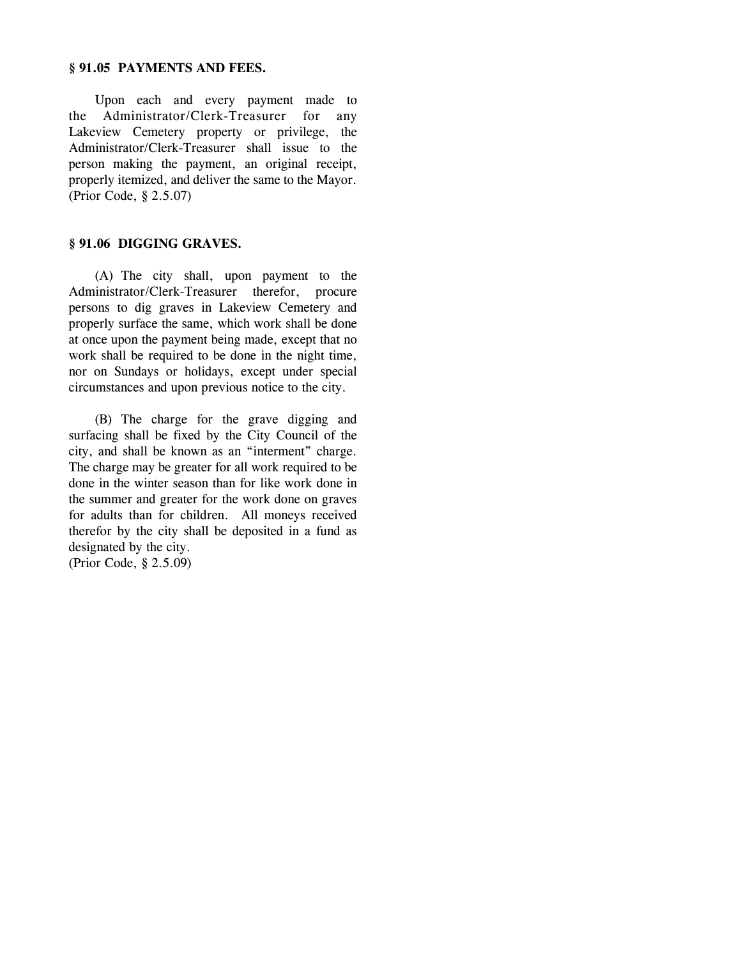### **§ 91.05 PAYMENTS AND FEES.**

Upon each and every payment made to the Administrator/Clerk-Treasurer for any Lakeview Cemetery property or privilege, the Administrator/Clerk-Treasurer shall issue to the person making the payment, an original receipt, properly itemized, and deliver the same to the Mayor. (Prior Code, § 2.5.07)

## **§ 91.06 DIGGING GRAVES.**

(A) The city shall, upon payment to the Administrator/Clerk-Treasurer therefor, procure persons to dig graves in Lakeview Cemetery and properly surface the same, which work shall be done at once upon the payment being made, except that no work shall be required to be done in the night time, nor on Sundays or holidays, except under special circumstances and upon previous notice to the city.

(B) The charge for the grave digging and surfacing shall be fixed by the City Council of the city, and shall be known as an "interment" charge. The charge may be greater for all work required to be done in the winter season than for like work done in the summer and greater for the work done on graves for adults than for children. All moneys received therefor by the city shall be deposited in a fund as designated by the city. (Prior Code, § 2.5.09)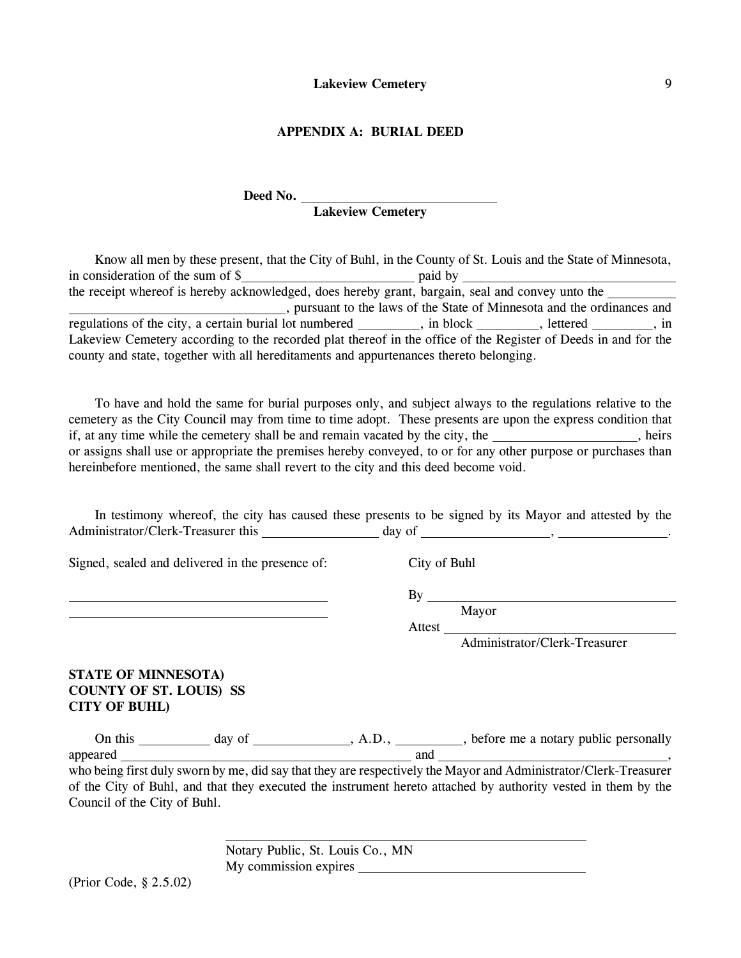### **APPENDIX A: BURIAL DEED**

# Deed No. \_\_

# **Lakeview Cemetery**

| Know all men by these present, that the City of Buhl, in the County of St. Louis and the State of Minnesota,                                                                                             |  |  |
|----------------------------------------------------------------------------------------------------------------------------------------------------------------------------------------------------------|--|--|
|                                                                                                                                                                                                          |  |  |
| the receipt whereof is hereby acknowledged, does hereby grant, bargain, seal and convey unto the                                                                                                         |  |  |
| ________, pursuant to the laws of the State of Minnesota and the ordinances and                                                                                                                          |  |  |
| regulations of the city, a certain burial lot numbered ________, in block _______, lettered ______, in                                                                                                   |  |  |
| Lakeview Cemetery according to the recorded plat thereof in the office of the Register of Deeds in and for the<br>county and state, together with all hereditaments and appurtenances thereto belonging. |  |  |

To have and hold the same for burial purposes only, and subject always to the regulations relative to the cemetery as the City Council may from time to time adopt. These presents are upon the express condition that if, at any time while the cemetery shall be and remain vacated by the city, the  $\overline{\phantom{a}}$ , heirs or assigns shall use or appropriate the premises hereby conveyed, to or for any other purpose or purchases than hereinbefore mentioned, the same shall revert to the city and this deed become void.

|                                    |        | In testimony whereof, the city has caused these presents to be signed by its Mayor and attested by the |
|------------------------------------|--------|--------------------------------------------------------------------------------------------------------|
| Administrator/Clerk-Treasurer this | day of |                                                                                                        |

Signed, sealed and delivered in the presence of: City of Buhl

<u>By</u>

 $\overline{a}$ 

<u>Mayor</u>

Attest\_

Administrator/Clerk-Treasurer

# **STATE OF MINNESOTA) COUNTY OF ST. LOUIS) SS CITY OF BUHL)**

| this     |     | Jd |   |  |     |      | before me a notary public personally |   |  |  |
|----------|-----|----|---|--|-----|------|--------------------------------------|---|--|--|
| appeared |     |    |   |  | and |      |                                      |   |  |  |
| .        | ___ |    | . |  |     | ____ |                                      | . |  |  |

who being first duly sworn by me, did say that they are respectively the Mayor and Administrator/Clerk-Treasurer of the City of Buhl, and that they executed the instrument hereto attached by authority vested in them by the Council of the City of Buhl.

> Notary Public, St. Louis Co., MN My commission expires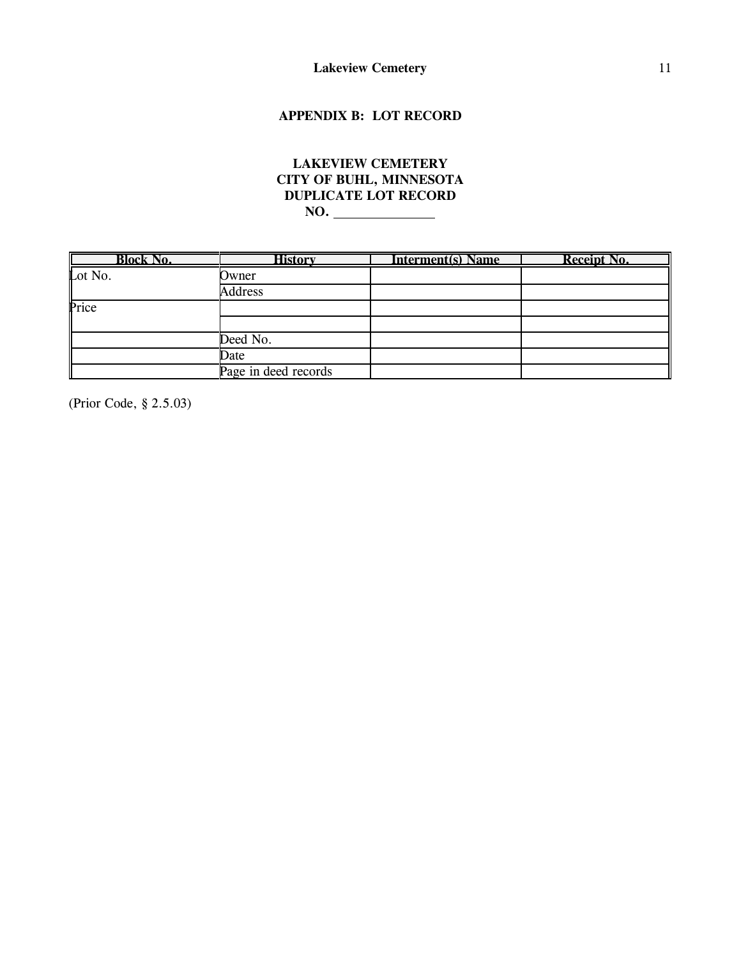# **APPENDIX B: LOT RECORD**

# **LAKEVIEW CEMETERY CITY OF BUHL, MINNESOTA DUPLICATE LOT RECORD NO.**

| <b>Block No.</b> | History              | <b>Interment(s) Name</b> | <b>Receipt No.</b> |
|------------------|----------------------|--------------------------|--------------------|
| Lot No.          | Owner                |                          |                    |
|                  | <b>Address</b>       |                          |                    |
| Price            |                      |                          |                    |
|                  |                      |                          |                    |
|                  | Deed No.             |                          |                    |
|                  | Date                 |                          |                    |
|                  | Page in deed records |                          |                    |

(Prior Code, § 2.5.03)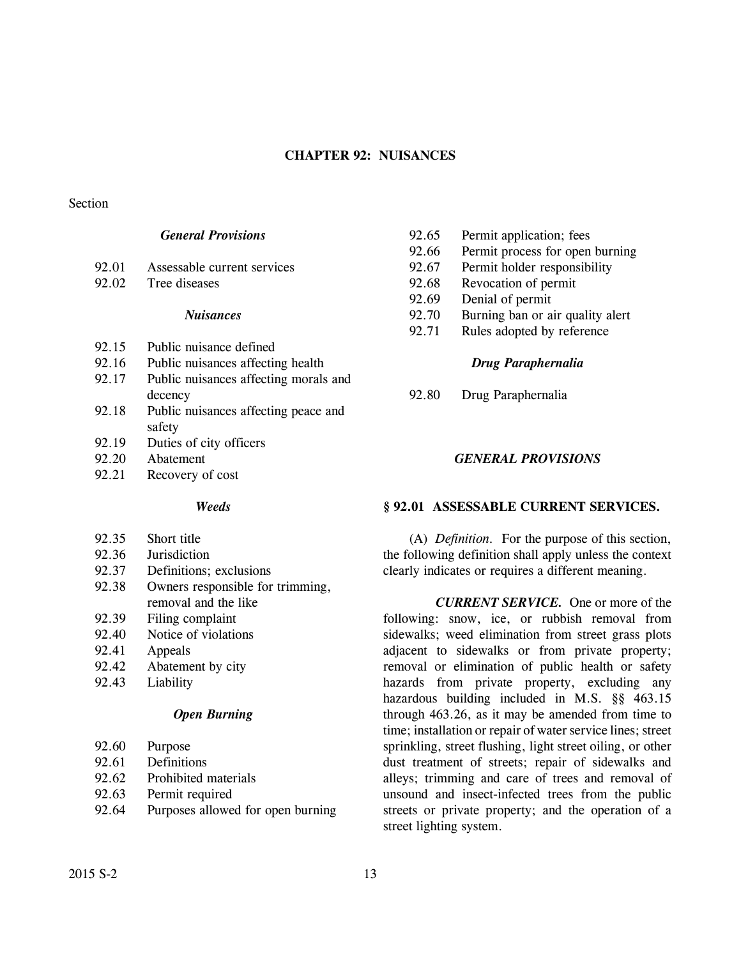## **CHAPTER 92: NUISANCES**

### Section

# *General Provisions*

| 92.01 | Assessable current services |  |
|-------|-----------------------------|--|
|       |                             |  |

92.02 Tree diseases

### *Nuisances*

- 92.15 Public nuisance defined
- 92.16 Public nuisances affecting health
- 92.17 Public nuisances affecting morals and decency
- 92.18 Public nuisances affecting peace and safety
- 92.19 Duties of city officers
- 92.20 Abatement
- 92.21 Recovery of cost

### *Weeds*

- 92.35 Short title
- 92.36 Jurisdiction
- 92.37 Definitions; exclusions
- 92.38 Owners responsible for trimming, removal and the like
- 92.39 Filing complaint
- 92.40 Notice of violations
- 92.41 Appeals
- 92.42 Abatement by city
- 92.43 Liability

# *Open Burning*

- 92.60 Purpose
- 92.61 Definitions
- 92.62 Prohibited materials
- 92.63 Permit required
- 92.64 Purposes allowed for open burning
- 92.65 Permit application; fees
- 92.66 Permit process for open burning
- 92.67 Permit holder responsibility
- 92.68 Revocation of permit
- 92.69 Denial of permit
- 92.70 Burning ban or air quality alert
- 92.71 Rules adopted by reference

## *Drug Paraphernalia*

92.80 Drug Paraphernalia

## *GENERAL PROVISIONS*

# **§ 92.01 ASSESSABLE CURRENT SERVICES.**

(A) *Definition.* For the purpose of this section, the following definition shall apply unless the context clearly indicates or requires a different meaning.

*CURRENT SERVICE.* One or more of the following: snow, ice, or rubbish removal from sidewalks; weed elimination from street grass plots adjacent to sidewalks or from private property; removal or elimination of public health or safety hazards from private property, excluding any hazardous building included in M.S. §§ 463.15 through 463.26, as it may be amended from time to time; installation or repair of water service lines; street sprinkling, street flushing, light street oiling, or other dust treatment of streets; repair of sidewalks and alleys; trimming and care of trees and removal of unsound and insect-infected trees from the public streets or private property; and the operation of a street lighting system.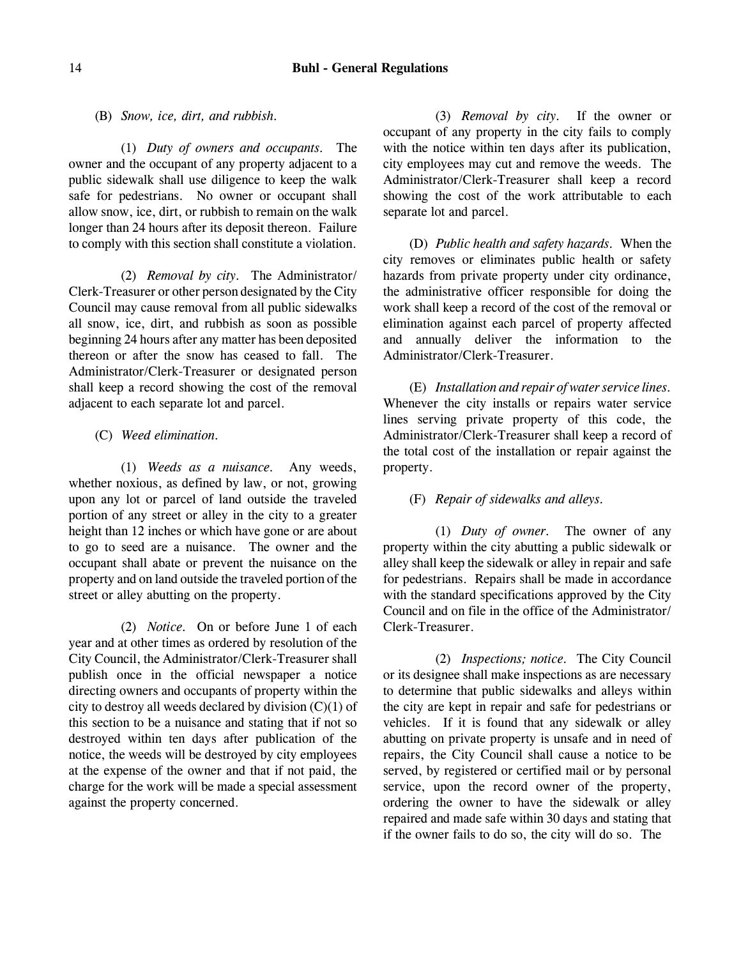(B) *Snow, ice, dirt, and rubbish.*

(1) *Duty of owners and occupants.* The owner and the occupant of any property adjacent to a public sidewalk shall use diligence to keep the walk safe for pedestrians. No owner or occupant shall allow snow, ice, dirt, or rubbish to remain on the walk longer than 24 hours after its deposit thereon. Failure to comply with this section shall constitute a violation.

(2) *Removal by city.* The Administrator/ Clerk-Treasurer or other person designated by the City Council may cause removal from all public sidewalks all snow, ice, dirt, and rubbish as soon as possible beginning 24 hours after any matter has been deposited thereon or after the snow has ceased to fall. The Administrator/Clerk-Treasurer or designated person shall keep a record showing the cost of the removal adjacent to each separate lot and parcel.

(C) *Weed elimination.*

(1) *Weeds as a nuisance.* Any weeds, whether noxious, as defined by law, or not, growing upon any lot or parcel of land outside the traveled portion of any street or alley in the city to a greater height than 12 inches or which have gone or are about to go to seed are a nuisance. The owner and the occupant shall abate or prevent the nuisance on the property and on land outside the traveled portion of the street or alley abutting on the property.

(2) *Notice.* On or before June 1 of each year and at other times as ordered by resolution of the City Council, the Administrator/Clerk-Treasurer shall publish once in the official newspaper a notice directing owners and occupants of property within the city to destroy all weeds declared by division  $(C)(1)$  of this section to be a nuisance and stating that if not so destroyed within ten days after publication of the notice, the weeds will be destroyed by city employees at the expense of the owner and that if not paid, the charge for the work will be made a special assessment against the property concerned.

(3) *Removal by city.* If the owner or occupant of any property in the city fails to comply with the notice within ten days after its publication, city employees may cut and remove the weeds. The Administrator/Clerk-Treasurer shall keep a record showing the cost of the work attributable to each separate lot and parcel.

(D) *Public health and safety hazards.* When the city removes or eliminates public health or safety hazards from private property under city ordinance, the administrative officer responsible for doing the work shall keep a record of the cost of the removal or elimination against each parcel of property affected and annually deliver the information to the Administrator/Clerk-Treasurer.

(E) *Installation and repair of water service lines.* Whenever the city installs or repairs water service lines serving private property of this code, the Administrator/Clerk-Treasurer shall keep a record of the total cost of the installation or repair against the property.

## (F) *Repair of sidewalks and alleys.*

(1) *Duty of owner.* The owner of any property within the city abutting a public sidewalk or alley shall keep the sidewalk or alley in repair and safe for pedestrians. Repairs shall be made in accordance with the standard specifications approved by the City Council and on file in the office of the Administrator/ Clerk-Treasurer.

(2) *Inspections; notice.* The City Council or its designee shall make inspections as are necessary to determine that public sidewalks and alleys within the city are kept in repair and safe for pedestrians or vehicles. If it is found that any sidewalk or alley abutting on private property is unsafe and in need of repairs, the City Council shall cause a notice to be served, by registered or certified mail or by personal service, upon the record owner of the property, ordering the owner to have the sidewalk or alley repaired and made safe within 30 days and stating that if the owner fails to do so, the city will do so. The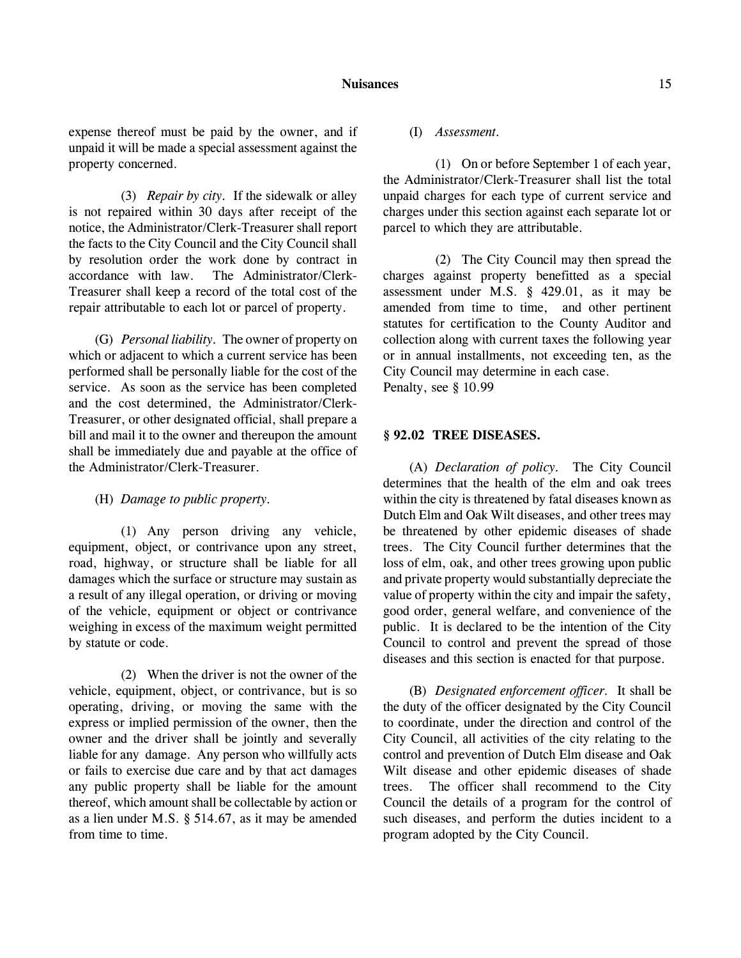expense thereof must be paid by the owner, and if unpaid it will be made a special assessment against the property concerned.

(3) *Repair by city.* If the sidewalk or alley is not repaired within 30 days after receipt of the notice, the Administrator/Clerk-Treasurer shall report the facts to the City Council and the City Council shall by resolution order the work done by contract in accordance with law. The Administrator/Clerk-Treasurer shall keep a record of the total cost of the repair attributable to each lot or parcel of property.

(G) *Personal liability.* The owner of property on which or adjacent to which a current service has been performed shall be personally liable for the cost of the service. As soon as the service has been completed and the cost determined, the Administrator/Clerk-Treasurer, or other designated official, shall prepare a bill and mail it to the owner and thereupon the amount shall be immediately due and payable at the office of the Administrator/Clerk-Treasurer.

(H) *Damage to public property.*

(1) Any person driving any vehicle, equipment, object, or contrivance upon any street, road, highway, or structure shall be liable for all damages which the surface or structure may sustain as a result of any illegal operation, or driving or moving of the vehicle, equipment or object or contrivance weighing in excess of the maximum weight permitted by statute or code.

(2) When the driver is not the owner of the vehicle, equipment, object, or contrivance, but is so operating, driving, or moving the same with the express or implied permission of the owner, then the owner and the driver shall be jointly and severally liable for any damage. Any person who willfully acts or fails to exercise due care and by that act damages any public property shall be liable for the amount thereof, which amount shall be collectable by action or as a lien under M.S. § 514.67, as it may be amended from time to time.

(I) *Assessment.*

(1) On or before September 1 of each year, the Administrator/Clerk-Treasurer shall list the total unpaid charges for each type of current service and charges under this section against each separate lot or parcel to which they are attributable.

(2) The City Council may then spread the charges against property benefitted as a special assessment under M.S. § 429.01, as it may be amended from time to time, and other pertinent statutes for certification to the County Auditor and collection along with current taxes the following year or in annual installments, not exceeding ten, as the City Council may determine in each case. Penalty, see § 10.99

### **§ 92.02 TREE DISEASES.**

(A) *Declaration of policy.* The City Council determines that the health of the elm and oak trees within the city is threatened by fatal diseases known as Dutch Elm and Oak Wilt diseases, and other trees may be threatened by other epidemic diseases of shade trees. The City Council further determines that the loss of elm, oak, and other trees growing upon public and private property would substantially depreciate the value of property within the city and impair the safety, good order, general welfare, and convenience of the public. It is declared to be the intention of the City Council to control and prevent the spread of those diseases and this section is enacted for that purpose.

(B) *Designated enforcement officer.* It shall be the duty of the officer designated by the City Council to coordinate, under the direction and control of the City Council, all activities of the city relating to the control and prevention of Dutch Elm disease and Oak Wilt disease and other epidemic diseases of shade trees. The officer shall recommend to the City Council the details of a program for the control of such diseases, and perform the duties incident to a program adopted by the City Council.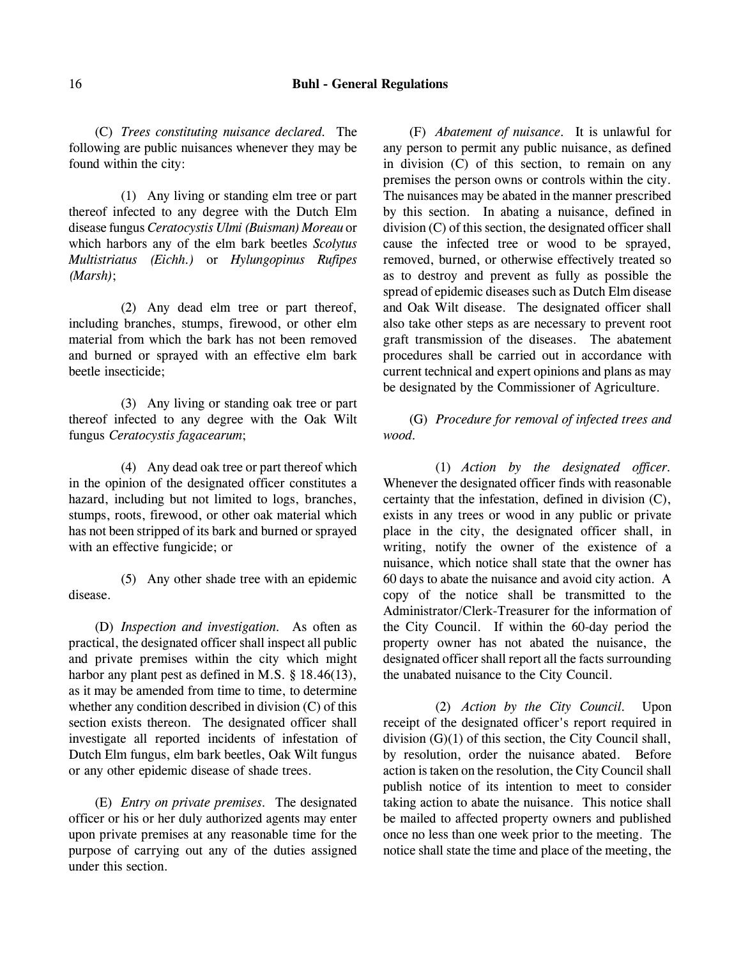(C) *Trees constituting nuisance declared.* The following are public nuisances whenever they may be found within the city:

(1) Any living or standing elm tree or part thereof infected to any degree with the Dutch Elm disease fungus *Ceratocystis Ulmi (Buisman) Moreau* or which harbors any of the elm bark beetles *Scolytus Multistriatus (Eichh.)* or *Hylungopinus Rufipes (Marsh)*;

(2) Any dead elm tree or part thereof, including branches, stumps, firewood, or other elm material from which the bark has not been removed and burned or sprayed with an effective elm bark beetle insecticide;

(3) Any living or standing oak tree or part thereof infected to any degree with the Oak Wilt fungus *Ceratocystis fagacearum*;

(4) Any dead oak tree or part thereof which in the opinion of the designated officer constitutes a hazard, including but not limited to logs, branches, stumps, roots, firewood, or other oak material which has not been stripped of its bark and burned or sprayed with an effective fungicide; or

(5) Any other shade tree with an epidemic disease.

(D) *Inspection and investigation.* As often as practical, the designated officer shall inspect all public and private premises within the city which might harbor any plant pest as defined in M.S. § 18.46(13), as it may be amended from time to time, to determine whether any condition described in division (C) of this section exists thereon. The designated officer shall investigate all reported incidents of infestation of Dutch Elm fungus, elm bark beetles, Oak Wilt fungus or any other epidemic disease of shade trees.

(E) *Entry on private premises.* The designated officer or his or her duly authorized agents may enter upon private premises at any reasonable time for the purpose of carrying out any of the duties assigned under this section.

(F) *Abatement of nuisance.* It is unlawful for any person to permit any public nuisance, as defined in division (C) of this section, to remain on any premises the person owns or controls within the city. The nuisances may be abated in the manner prescribed by this section. In abating a nuisance, defined in division (C) of this section, the designated officer shall cause the infected tree or wood to be sprayed, removed, burned, or otherwise effectively treated so as to destroy and prevent as fully as possible the spread of epidemic diseases such as Dutch Elm disease and Oak Wilt disease. The designated officer shall also take other steps as are necessary to prevent root graft transmission of the diseases. The abatement procedures shall be carried out in accordance with current technical and expert opinions and plans as may be designated by the Commissioner of Agriculture.

(G) *Procedure for removal of infected trees and wood.*

(1) *Action by the designated officer.* Whenever the designated officer finds with reasonable certainty that the infestation, defined in division (C), exists in any trees or wood in any public or private place in the city, the designated officer shall, in writing, notify the owner of the existence of a nuisance, which notice shall state that the owner has 60 days to abate the nuisance and avoid city action. A copy of the notice shall be transmitted to the Administrator/Clerk-Treasurer for the information of the City Council. If within the 60-day period the property owner has not abated the nuisance, the designated officer shall report all the facts surrounding the unabated nuisance to the City Council.

(2) *Action by the City Council.* Upon receipt of the designated officer's report required in division (G)(1) of this section, the City Council shall, by resolution, order the nuisance abated. Before action is taken on the resolution, the City Council shall publish notice of its intention to meet to consider taking action to abate the nuisance. This notice shall be mailed to affected property owners and published once no less than one week prior to the meeting. The notice shall state the time and place of the meeting, the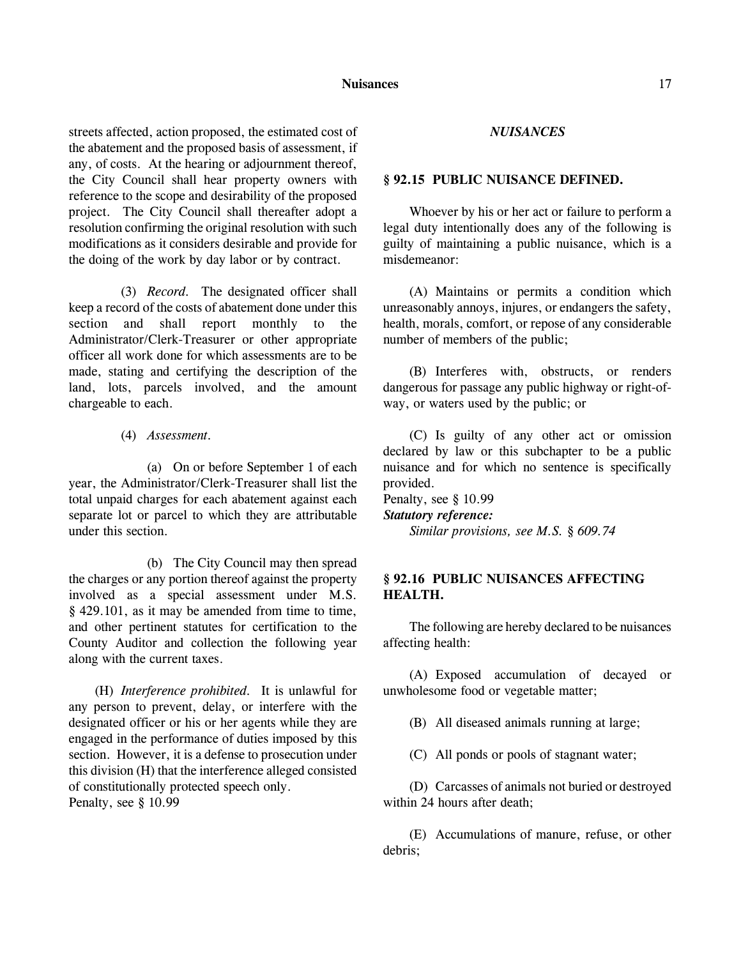streets affected, action proposed, the estimated cost of the abatement and the proposed basis of assessment, if any, of costs. At the hearing or adjournment thereof, the City Council shall hear property owners with reference to the scope and desirability of the proposed project. The City Council shall thereafter adopt a resolution confirming the original resolution with such modifications as it considers desirable and provide for the doing of the work by day labor or by contract.

(3) *Record.* The designated officer shall keep a record of the costs of abatement done under this section and shall report monthly to the Administrator/Clerk-Treasurer or other appropriate officer all work done for which assessments are to be made, stating and certifying the description of the land, lots, parcels involved, and the amount chargeable to each.

(4) *Assessment.*

(a) On or before September 1 of each year, the Administrator/Clerk-Treasurer shall list the total unpaid charges for each abatement against each separate lot or parcel to which they are attributable under this section.

(b) The City Council may then spread the charges or any portion thereof against the property involved as a special assessment under M.S. § 429.101, as it may be amended from time to time, and other pertinent statutes for certification to the County Auditor and collection the following year along with the current taxes.

(H) *Interference prohibited.* It is unlawful for any person to prevent, delay, or interfere with the designated officer or his or her agents while they are engaged in the performance of duties imposed by this section. However, it is a defense to prosecution under this division (H) that the interference alleged consisted of constitutionally protected speech only.

Penalty, see § 10.99

### *NUISANCES*

### **§ 92.15 PUBLIC NUISANCE DEFINED.**

Whoever by his or her act or failure to perform a legal duty intentionally does any of the following is guilty of maintaining a public nuisance, which is a misdemeanor:

(A) Maintains or permits a condition which unreasonably annoys, injures, or endangers the safety, health, morals, comfort, or repose of any considerable number of members of the public;

(B) Interferes with, obstructs, or renders dangerous for passage any public highway or right-ofway, or waters used by the public; or

(C) Is guilty of any other act or omission declared by law or this subchapter to be a public nuisance and for which no sentence is specifically provided.

Penalty, see § 10.99 *Statutory reference: Similar provisions, see M.S. § 609.74*

# **§ 92.16 PUBLIC NUISANCES AFFECTING HEALTH.**

The following are hereby declared to be nuisances affecting health:

(A) Exposed accumulation of decayed or unwholesome food or vegetable matter;

(B) All diseased animals running at large;

(C) All ponds or pools of stagnant water;

(D) Carcasses of animals not buried or destroyed within 24 hours after death;

(E) Accumulations of manure, refuse, or other debris;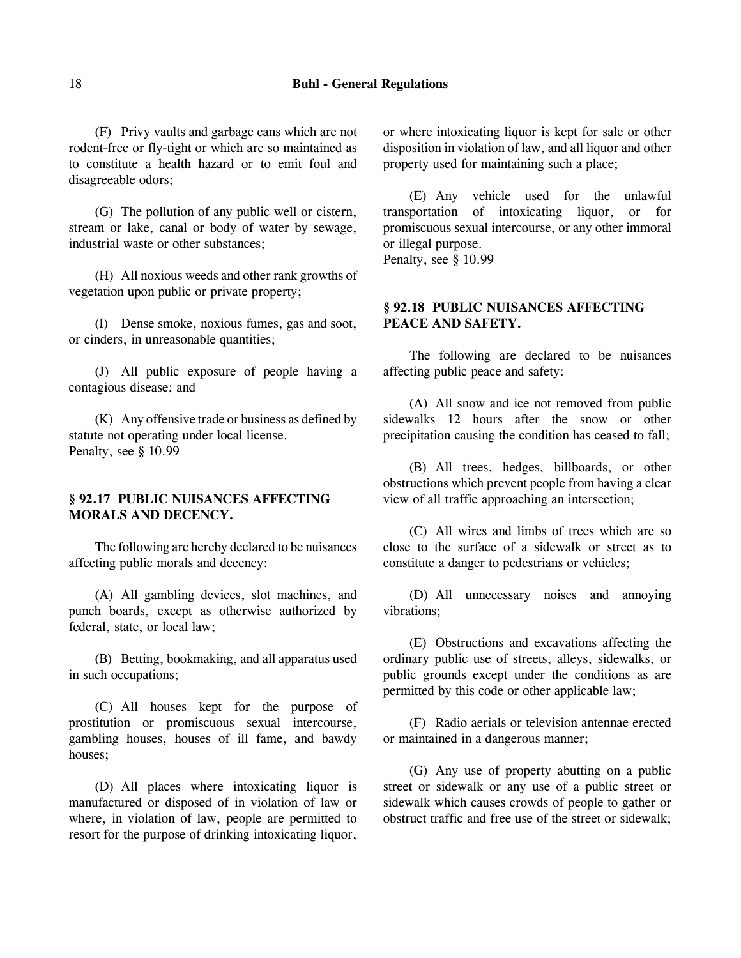### 18 **Buhl - General Regulations**

(F) Privy vaults and garbage cans which are not rodent-free or fly-tight or which are so maintained as to constitute a health hazard or to emit foul and disagreeable odors;

(G) The pollution of any public well or cistern, stream or lake, canal or body of water by sewage, industrial waste or other substances;

(H) All noxious weeds and other rank growths of vegetation upon public or private property;

(I) Dense smoke, noxious fumes, gas and soot, or cinders, in unreasonable quantities;

(J) All public exposure of people having a contagious disease; and

(K) Any offensive trade or business as defined by statute not operating under local license. Penalty, see § 10.99

# **§ 92.17 PUBLIC NUISANCES AFFECTING MORALS AND DECENCY.**

The following are hereby declared to be nuisances affecting public morals and decency:

(A) All gambling devices, slot machines, and punch boards, except as otherwise authorized by federal, state, or local law;

(B) Betting, bookmaking, and all apparatus used in such occupations;

(C) All houses kept for the purpose of prostitution or promiscuous sexual intercourse, gambling houses, houses of ill fame, and bawdy houses;

(D) All places where intoxicating liquor is manufactured or disposed of in violation of law or where, in violation of law, people are permitted to resort for the purpose of drinking intoxicating liquor,

or where intoxicating liquor is kept for sale or other disposition in violation of law, and all liquor and other property used for maintaining such a place;

(E) Any vehicle used for the unlawful transportation of intoxicating liquor, or for promiscuous sexual intercourse, or any other immoral or illegal purpose. Penalty, see § 10.99

**§ 92.18 PUBLIC NUISANCES AFFECTING PEACE AND SAFETY.**

The following are declared to be nuisances affecting public peace and safety:

(A) All snow and ice not removed from public sidewalks 12 hours after the snow or other precipitation causing the condition has ceased to fall;

(B) All trees, hedges, billboards, or other obstructions which prevent people from having a clear view of all traffic approaching an intersection;

(C) All wires and limbs of trees which are so close to the surface of a sidewalk or street as to constitute a danger to pedestrians or vehicles;

(D) All unnecessary noises and annoying vibrations;

(E) Obstructions and excavations affecting the ordinary public use of streets, alleys, sidewalks, or public grounds except under the conditions as are permitted by this code or other applicable law;

(F) Radio aerials or television antennae erected or maintained in a dangerous manner;

(G) Any use of property abutting on a public street or sidewalk or any use of a public street or sidewalk which causes crowds of people to gather or obstruct traffic and free use of the street or sidewalk;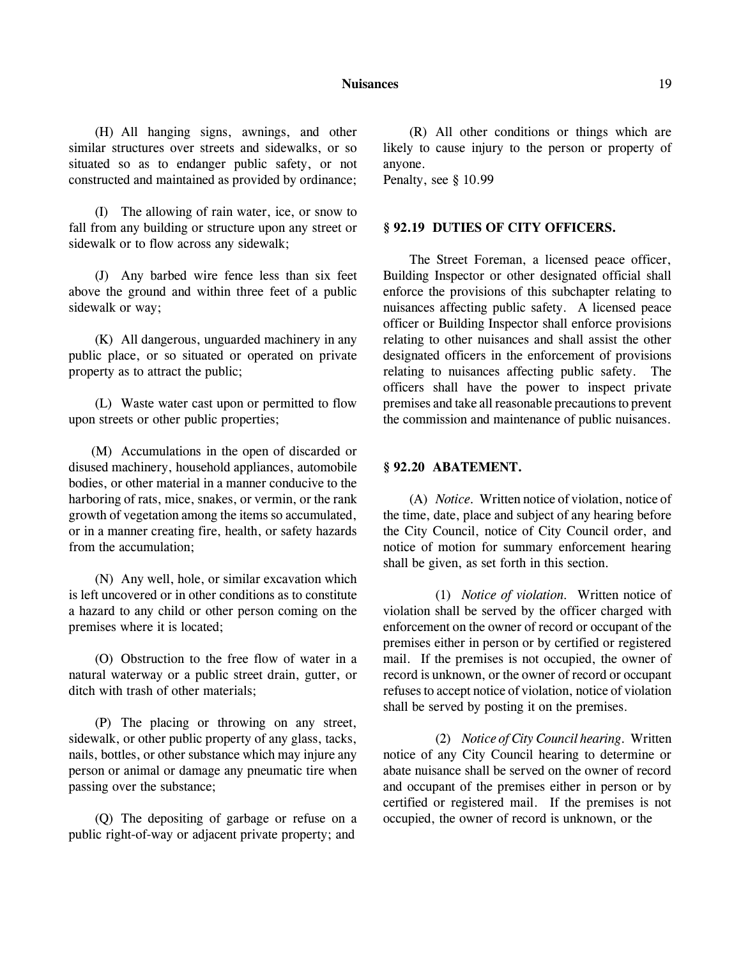#### **Nuisances** 19

(H) All hanging signs, awnings, and other similar structures over streets and sidewalks, or so situated so as to endanger public safety, or not constructed and maintained as provided by ordinance;

(I) The allowing of rain water, ice, or snow to fall from any building or structure upon any street or sidewalk or to flow across any sidewalk;

(J) Any barbed wire fence less than six feet above the ground and within three feet of a public sidewalk or way;

(K) All dangerous, unguarded machinery in any public place, or so situated or operated on private property as to attract the public;

(L) Waste water cast upon or permitted to flow upon streets or other public properties;

(M) Accumulations in the open of discarded or disused machinery, household appliances, automobile bodies, or other material in a manner conducive to the harboring of rats, mice, snakes, or vermin, or the rank growth of vegetation among the items so accumulated, or in a manner creating fire, health, or safety hazards from the accumulation;

(N) Any well, hole, or similar excavation which is left uncovered or in other conditions as to constitute a hazard to any child or other person coming on the premises where it is located;

(O) Obstruction to the free flow of water in a natural waterway or a public street drain, gutter, or ditch with trash of other materials;

(P) The placing or throwing on any street, sidewalk, or other public property of any glass, tacks, nails, bottles, or other substance which may injure any person or animal or damage any pneumatic tire when passing over the substance;

(Q) The depositing of garbage or refuse on a public right-of-way or adjacent private property; and

(R) All other conditions or things which are likely to cause injury to the person or property of anyone.

Penalty, see § 10.99

## **§ 92.19 DUTIES OF CITY OFFICERS.**

The Street Foreman, a licensed peace officer, Building Inspector or other designated official shall enforce the provisions of this subchapter relating to nuisances affecting public safety. A licensed peace officer or Building Inspector shall enforce provisions relating to other nuisances and shall assist the other designated officers in the enforcement of provisions relating to nuisances affecting public safety. The officers shall have the power to inspect private premises and take all reasonable precautions to prevent the commission and maintenance of public nuisances.

## **§ 92.20 ABATEMENT.**

(A) *Notice.* Written notice of violation, notice of the time, date, place and subject of any hearing before the City Council, notice of City Council order, and notice of motion for summary enforcement hearing shall be given, as set forth in this section.

(1) *Notice of violation.* Written notice of violation shall be served by the officer charged with enforcement on the owner of record or occupant of the premises either in person or by certified or registered mail. If the premises is not occupied, the owner of record is unknown, or the owner of record or occupant refuses to accept notice of violation, notice of violation shall be served by posting it on the premises.

(2) *Notice of City Council hearing.* Written notice of any City Council hearing to determine or abate nuisance shall be served on the owner of record and occupant of the premises either in person or by certified or registered mail. If the premises is not occupied, the owner of record is unknown, or the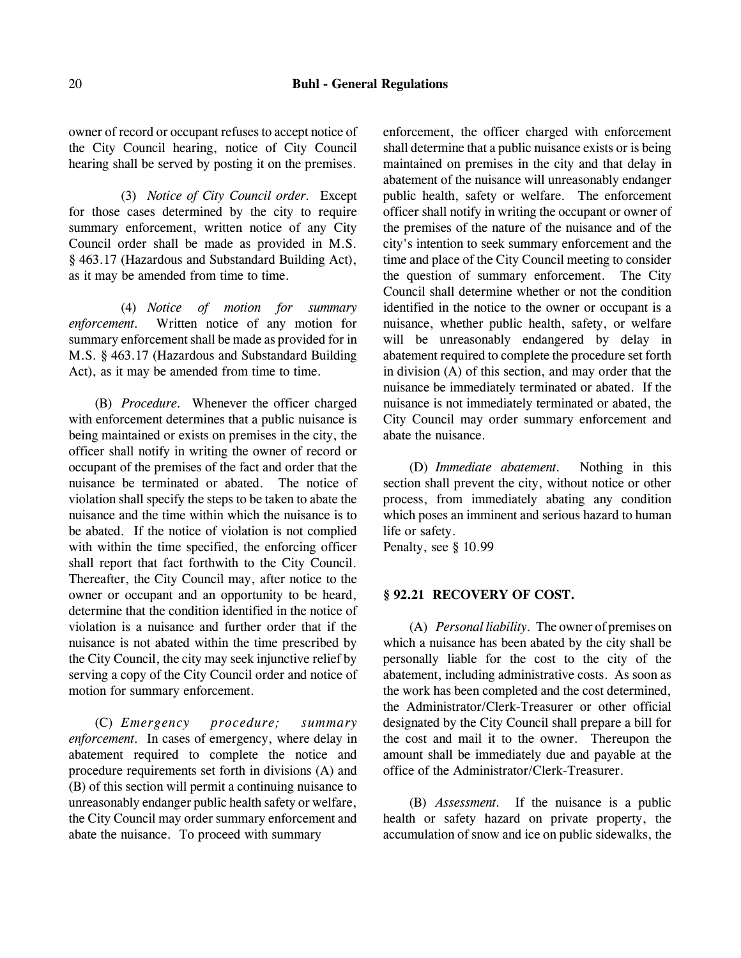owner of record or occupant refuses to accept notice of the City Council hearing, notice of City Council hearing shall be served by posting it on the premises.

(3) *Notice of City Council order.* Except for those cases determined by the city to require summary enforcement, written notice of any City Council order shall be made as provided in M.S. § 463.17 (Hazardous and Substandard Building Act), as it may be amended from time to time.

(4) *Notice of motion for summary enforcement.* Written notice of any motion for summary enforcement shall be made as provided for in M.S. § 463.17 (Hazardous and Substandard Building Act), as it may be amended from time to time.

(B) *Procedure.* Whenever the officer charged with enforcement determines that a public nuisance is being maintained or exists on premises in the city, the officer shall notify in writing the owner of record or occupant of the premises of the fact and order that the nuisance be terminated or abated. The notice of violation shall specify the steps to be taken to abate the nuisance and the time within which the nuisance is to be abated. If the notice of violation is not complied with within the time specified, the enforcing officer shall report that fact forthwith to the City Council. Thereafter, the City Council may, after notice to the owner or occupant and an opportunity to be heard, determine that the condition identified in the notice of violation is a nuisance and further order that if the nuisance is not abated within the time prescribed by the City Council, the city may seek injunctive relief by serving a copy of the City Council order and notice of motion for summary enforcement.

(C) *Emergency procedure; summary enforcement.* In cases of emergency, where delay in abatement required to complete the notice and procedure requirements set forth in divisions (A) and (B) of this section will permit a continuing nuisance to unreasonably endanger public health safety or welfare, the City Council may order summary enforcement and abate the nuisance. To proceed with summary

enforcement, the officer charged with enforcement shall determine that a public nuisance exists or is being maintained on premises in the city and that delay in abatement of the nuisance will unreasonably endanger public health, safety or welfare. The enforcement officer shall notify in writing the occupant or owner of the premises of the nature of the nuisance and of the city's intention to seek summary enforcement and the time and place of the City Council meeting to consider the question of summary enforcement. The City Council shall determine whether or not the condition identified in the notice to the owner or occupant is a nuisance, whether public health, safety, or welfare will be unreasonably endangered by delay in abatement required to complete the procedure set forth in division (A) of this section, and may order that the nuisance be immediately terminated or abated. If the nuisance is not immediately terminated or abated, the City Council may order summary enforcement and abate the nuisance.

(D) *Immediate abatement.* Nothing in this section shall prevent the city, without notice or other process, from immediately abating any condition which poses an imminent and serious hazard to human life or safety.

Penalty, see § 10.99

### **§ 92.21 RECOVERY OF COST.**

(A) *Personal liability.* The owner of premises on which a nuisance has been abated by the city shall be personally liable for the cost to the city of the abatement, including administrative costs. As soon as the work has been completed and the cost determined, the Administrator/Clerk-Treasurer or other official designated by the City Council shall prepare a bill for the cost and mail it to the owner. Thereupon the amount shall be immediately due and payable at the office of the Administrator/Clerk-Treasurer.

(B) *Assessment.* If the nuisance is a public health or safety hazard on private property, the accumulation of snow and ice on public sidewalks, the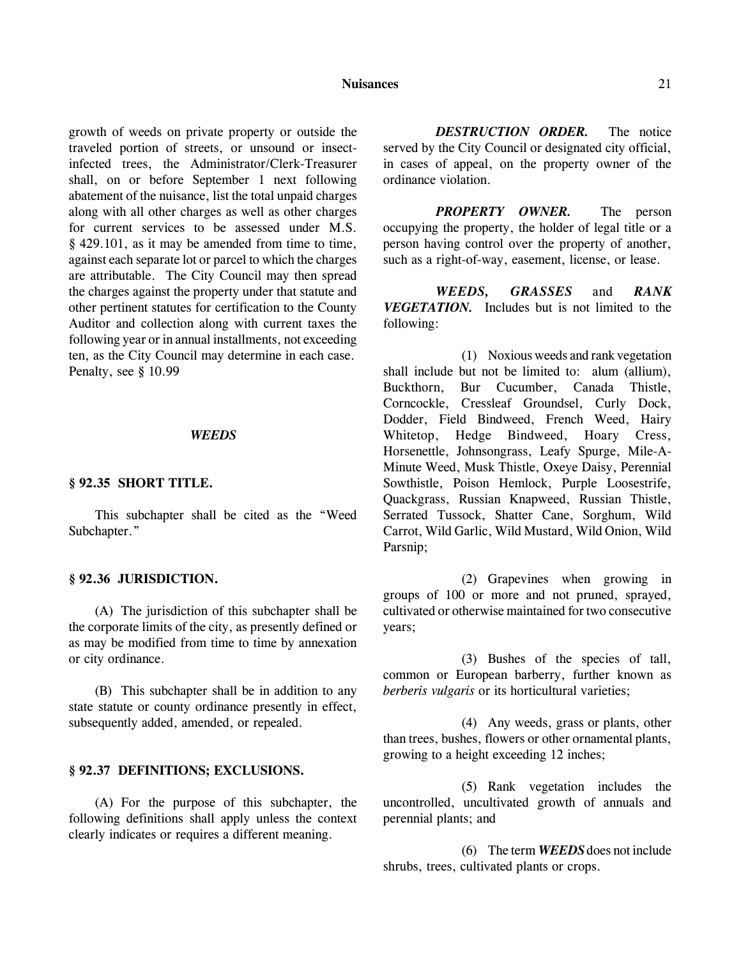#### **Nuisances** 21

growth of weeds on private property or outside the traveled portion of streets, or unsound or insectinfected trees, the Administrator/Clerk-Treasurer shall, on or before September 1 next following abatement of the nuisance, list the total unpaid charges along with all other charges as well as other charges for current services to be assessed under M.S. § 429.101, as it may be amended from time to time, against each separate lot or parcel to which the charges are attributable. The City Council may then spread the charges against the property under that statute and other pertinent statutes for certification to the County Auditor and collection along with current taxes the following year or in annual installments, not exceeding ten, as the City Council may determine in each case. Penalty, see § 10.99

#### *WEEDS*

### **§ 92.35 SHORT TITLE.**

This subchapter shall be cited as the "Weed Subchapter."

### **§ 92.36 JURISDICTION.**

(A) The jurisdiction of this subchapter shall be the corporate limits of the city, as presently defined or as may be modified from time to time by annexation or city ordinance.

(B) This subchapter shall be in addition to any state statute or county ordinance presently in effect, subsequently added, amended, or repealed.

#### **§ 92.37 DEFINITIONS; EXCLUSIONS.**

(A) For the purpose of this subchapter, the following definitions shall apply unless the context clearly indicates or requires a different meaning.

*DESTRUCTION ORDER.* The notice served by the City Council or designated city official, in cases of appeal, on the property owner of the ordinance violation.

*PROPERTY OWNER.* The person occupying the property, the holder of legal title or a person having control over the property of another, such as a right-of-way, easement, license, or lease.

*WEEDS, GRASSES* and *RANK VEGETATION.* Includes but is not limited to the following:

(1) Noxious weeds and rank vegetation shall include but not be limited to: alum (allium), Buckthorn, Bur Cucumber, Canada Thistle, Corncockle, Cressleaf Groundsel, Curly Dock, Dodder, Field Bindweed, French Weed, Hairy Whitetop, Hedge Bindweed, Hoary Cress, Horsenettle, Johnsongrass, Leafy Spurge, Mile-A-Minute Weed, Musk Thistle, Oxeye Daisy, Perennial Sowthistle, Poison Hemlock, Purple Loosestrife, Quackgrass, Russian Knapweed, Russian Thistle, Serrated Tussock, Shatter Cane, Sorghum, Wild Carrot, Wild Garlic, Wild Mustard, Wild Onion, Wild Parsnip;

(2) Grapevines when growing in groups of 100 or more and not pruned, sprayed, cultivated or otherwise maintained for two consecutive years;

(3) Bushes of the species of tall, common or European barberry, further known as *berberis vulgaris* or its horticultural varieties;

(4) Any weeds, grass or plants, other than trees, bushes, flowers or other ornamental plants, growing to a height exceeding 12 inches;

(5) Rank vegetation includes the uncontrolled, uncultivated growth of annuals and perennial plants; and

(6) The term *WEEDS* does not include shrubs, trees, cultivated plants or crops.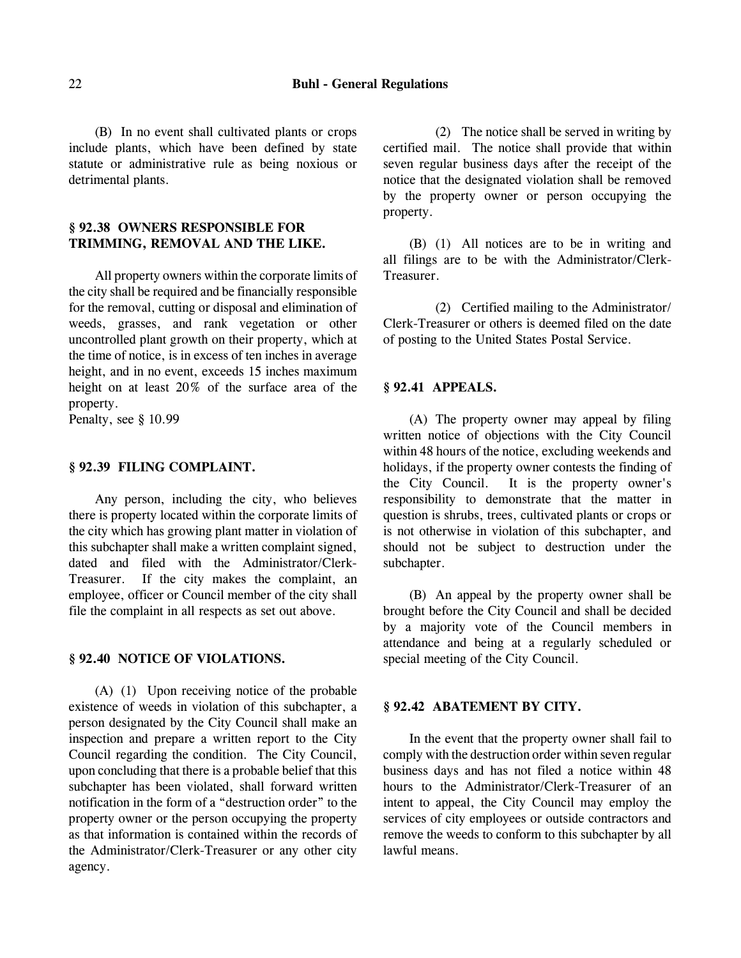(B) In no event shall cultivated plants or crops include plants, which have been defined by state statute or administrative rule as being noxious or detrimental plants.

# **§ 92.38 OWNERS RESPONSIBLE FOR TRIMMING, REMOVAL AND THE LIKE.**

All property owners within the corporate limits of the city shall be required and be financially responsible for the removal, cutting or disposal and elimination of weeds, grasses, and rank vegetation or other uncontrolled plant growth on their property, which at the time of notice, is in excess of ten inches in average height, and in no event, exceeds 15 inches maximum height on at least 20% of the surface area of the property.

Penalty, see § 10.99

# **§ 92.39 FILING COMPLAINT.**

Any person, including the city, who believes there is property located within the corporate limits of the city which has growing plant matter in violation of this subchapter shall make a written complaint signed, dated and filed with the Administrator/Clerk-Treasurer. If the city makes the complaint, an employee, officer or Council member of the city shall file the complaint in all respects as set out above.

### **§ 92.40 NOTICE OF VIOLATIONS.**

(A) (1) Upon receiving notice of the probable existence of weeds in violation of this subchapter, a person designated by the City Council shall make an inspection and prepare a written report to the City Council regarding the condition. The City Council, upon concluding that there is a probable belief that this subchapter has been violated, shall forward written notification in the form of a "destruction order" to the property owner or the person occupying the property as that information is contained within the records of the Administrator/Clerk-Treasurer or any other city agency.

(2) The notice shall be served in writing by certified mail. The notice shall provide that within seven regular business days after the receipt of the notice that the designated violation shall be removed by the property owner or person occupying the property.

(B) (1) All notices are to be in writing and all filings are to be with the Administrator/Clerk-Treasurer.

(2) Certified mailing to the Administrator/ Clerk-Treasurer or others is deemed filed on the date of posting to the United States Postal Service.

### **§ 92.41 APPEALS.**

(A) The property owner may appeal by filing written notice of objections with the City Council within 48 hours of the notice, excluding weekends and holidays, if the property owner contests the finding of the City Council. It is the property owner's responsibility to demonstrate that the matter in question is shrubs, trees, cultivated plants or crops or is not otherwise in violation of this subchapter, and should not be subject to destruction under the subchapter.

(B) An appeal by the property owner shall be brought before the City Council and shall be decided by a majority vote of the Council members in attendance and being at a regularly scheduled or special meeting of the City Council.

## **§ 92.42 ABATEMENT BY CITY.**

In the event that the property owner shall fail to comply with the destruction order within seven regular business days and has not filed a notice within 48 hours to the Administrator/Clerk-Treasurer of an intent to appeal, the City Council may employ the services of city employees or outside contractors and remove the weeds to conform to this subchapter by all lawful means.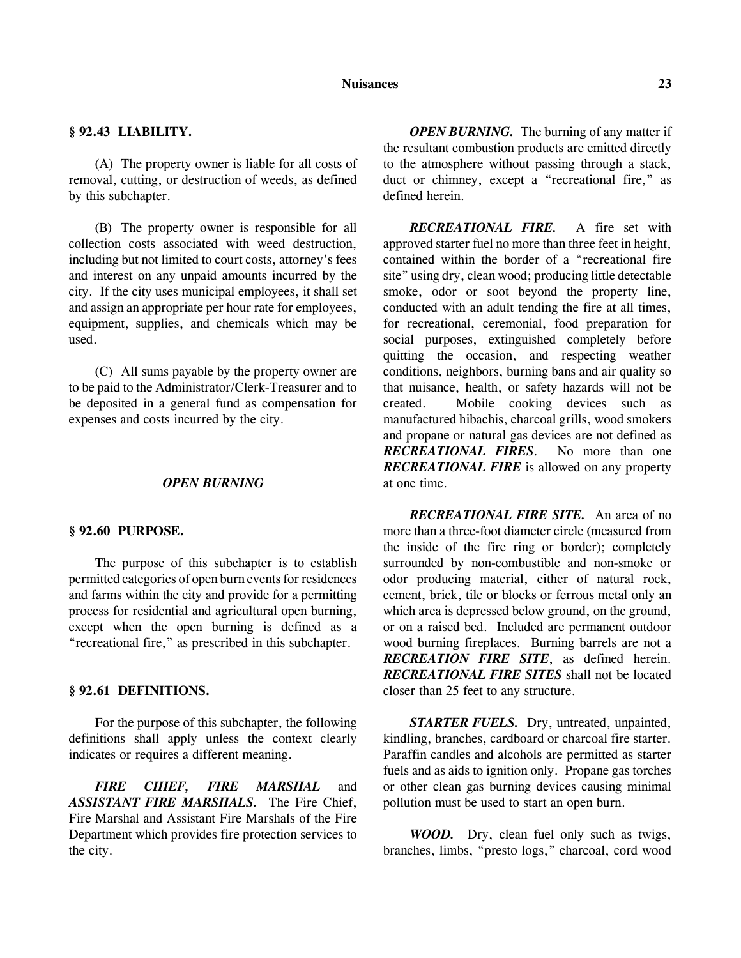#### **Nuisances 23**

### **§ 92.43 LIABILITY.**

(A) The property owner is liable for all costs of removal, cutting, or destruction of weeds, as defined by this subchapter.

(B) The property owner is responsible for all collection costs associated with weed destruction, including but not limited to court costs, attorney's fees and interest on any unpaid amounts incurred by the city. If the city uses municipal employees, it shall set and assign an appropriate per hour rate for employees, equipment, supplies, and chemicals which may be used.

(C) All sums payable by the property owner are to be paid to the Administrator/Clerk-Treasurer and to be deposited in a general fund as compensation for expenses and costs incurred by the city.

### *OPEN BURNING*

#### **§ 92.60 PURPOSE.**

The purpose of this subchapter is to establish permitted categories of open burn events for residences and farms within the city and provide for a permitting process for residential and agricultural open burning, except when the open burning is defined as a "recreational fire," as prescribed in this subchapter.

### **§ 92.61 DEFINITIONS.**

For the purpose of this subchapter, the following definitions shall apply unless the context clearly indicates or requires a different meaning.

*FIRE CHIEF, FIRE MARSHAL* and *ASSISTANT FIRE MARSHALS.* The Fire Chief, Fire Marshal and Assistant Fire Marshals of the Fire Department which provides fire protection services to the city.

*OPEN BURNING.* The burning of any matter if the resultant combustion products are emitted directly to the atmosphere without passing through a stack, duct or chimney, except a "recreational fire," as defined herein.

*RECREATIONAL FIRE.* A fire set with approved starter fuel no more than three feet in height, contained within the border of a "recreational fire site" using dry, clean wood; producing little detectable smoke, odor or soot beyond the property line, conducted with an adult tending the fire at all times, for recreational, ceremonial, food preparation for social purposes, extinguished completely before quitting the occasion, and respecting weather conditions, neighbors, burning bans and air quality so that nuisance, health, or safety hazards will not be created. Mobile cooking devices such as manufactured hibachis, charcoal grills, wood smokers and propane or natural gas devices are not defined as *RECREATIONAL FIRES*. No more than one *RECREATIONAL FIRE* is allowed on any property at one time.

*RECREATIONAL FIRE SITE.* An area of no more than a three-foot diameter circle (measured from the inside of the fire ring or border); completely surrounded by non-combustible and non-smoke or odor producing material, either of natural rock, cement, brick, tile or blocks or ferrous metal only an which area is depressed below ground, on the ground, or on a raised bed. Included are permanent outdoor wood burning fireplaces. Burning barrels are not a *RECREATION FIRE SITE*, as defined herein. *RECREATIONAL FIRE SITES* shall not be located closer than 25 feet to any structure.

*STARTER FUELS.* Dry, untreated, unpainted, kindling, branches, cardboard or charcoal fire starter. Paraffin candles and alcohols are permitted as starter fuels and as aids to ignition only. Propane gas torches or other clean gas burning devices causing minimal pollution must be used to start an open burn.

*WOOD.* Dry, clean fuel only such as twigs, branches, limbs, "presto logs," charcoal, cord wood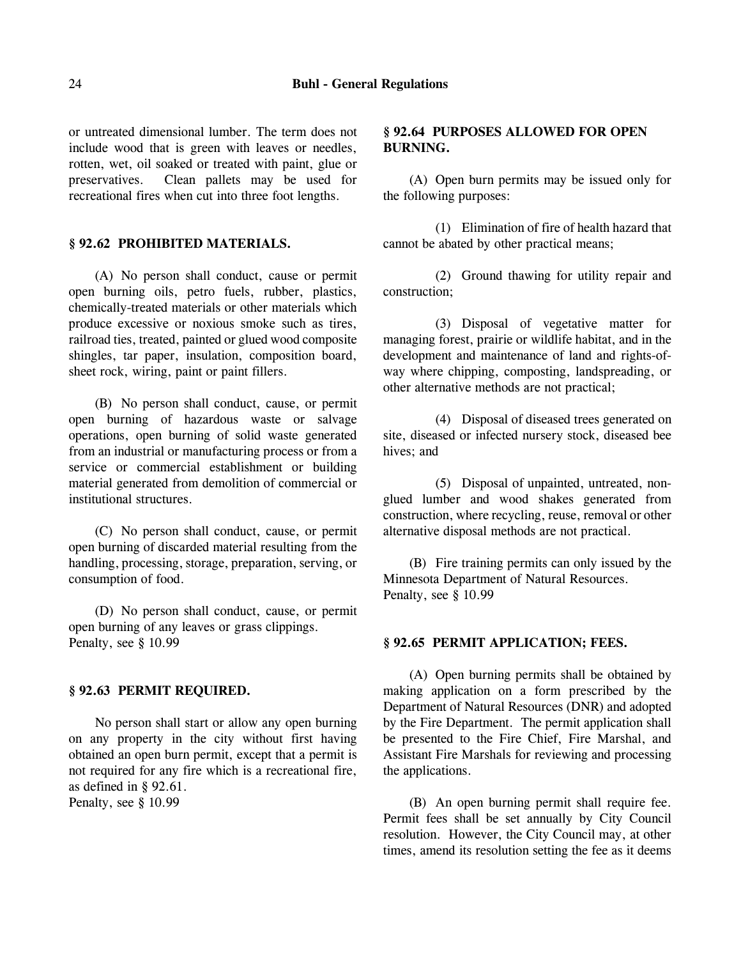#### 24 **Buhl - General Regulations**

or untreated dimensional lumber. The term does not include wood that is green with leaves or needles, rotten, wet, oil soaked or treated with paint, glue or preservatives. Clean pallets may be used for recreational fires when cut into three foot lengths.

### **§ 92.62 PROHIBITED MATERIALS.**

(A) No person shall conduct, cause or permit open burning oils, petro fuels, rubber, plastics, chemically-treated materials or other materials which produce excessive or noxious smoke such as tires, railroad ties, treated, painted or glued wood composite shingles, tar paper, insulation, composition board, sheet rock, wiring, paint or paint fillers.

(B) No person shall conduct, cause, or permit open burning of hazardous waste or salvage operations, open burning of solid waste generated from an industrial or manufacturing process or from a service or commercial establishment or building material generated from demolition of commercial or institutional structures.

(C) No person shall conduct, cause, or permit open burning of discarded material resulting from the handling, processing, storage, preparation, serving, or consumption of food.

(D) No person shall conduct, cause, or permit open burning of any leaves or grass clippings. Penalty, see § 10.99

### **§ 92.63 PERMIT REQUIRED.**

No person shall start or allow any open burning on any property in the city without first having obtained an open burn permit, except that a permit is not required for any fire which is a recreational fire, as defined in § 92.61.

Penalty, see § 10.99

# **§ 92.64 PURPOSES ALLOWED FOR OPEN BURNING.**

(A) Open burn permits may be issued only for the following purposes:

(1) Elimination of fire of health hazard that cannot be abated by other practical means;

(2) Ground thawing for utility repair and construction;

(3) Disposal of vegetative matter for managing forest, prairie or wildlife habitat, and in the development and maintenance of land and rights-ofway where chipping, composting, landspreading, or other alternative methods are not practical;

(4) Disposal of diseased trees generated on site, diseased or infected nursery stock, diseased bee hives; and

(5) Disposal of unpainted, untreated, nonglued lumber and wood shakes generated from construction, where recycling, reuse, removal or other alternative disposal methods are not practical.

(B) Fire training permits can only issued by the Minnesota Department of Natural Resources. Penalty, see § 10.99

#### **§ 92.65 PERMIT APPLICATION; FEES.**

(A) Open burning permits shall be obtained by making application on a form prescribed by the Department of Natural Resources (DNR) and adopted by the Fire Department. The permit application shall be presented to the Fire Chief, Fire Marshal, and Assistant Fire Marshals for reviewing and processing the applications.

(B) An open burning permit shall require fee. Permit fees shall be set annually by City Council resolution. However, the City Council may, at other times, amend its resolution setting the fee as it deems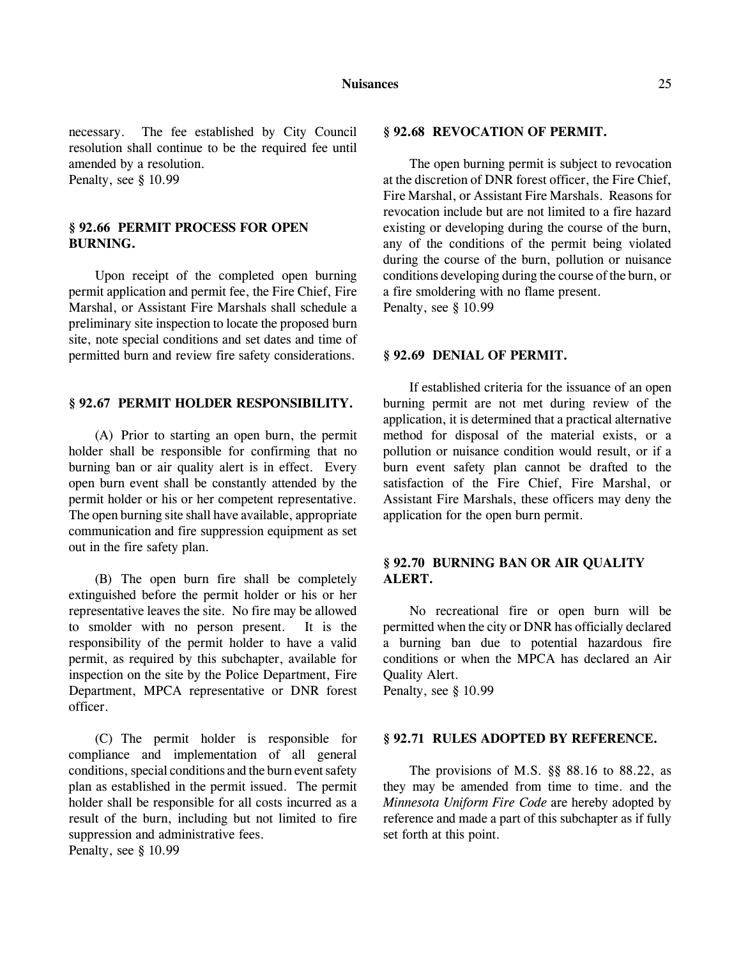necessary. The fee established by City Council resolution shall continue to be the required fee until amended by a resolution. Penalty, see § 10.99

# **§ 92.66 PERMIT PROCESS FOR OPEN BURNING.**

Upon receipt of the completed open burning permit application and permit fee, the Fire Chief, Fire Marshal, or Assistant Fire Marshals shall schedule a preliminary site inspection to locate the proposed burn site, note special conditions and set dates and time of permitted burn and review fire safety considerations.

### **§ 92.67 PERMIT HOLDER RESPONSIBILITY.**

(A) Prior to starting an open burn, the permit holder shall be responsible for confirming that no burning ban or air quality alert is in effect. Every open burn event shall be constantly attended by the permit holder or his or her competent representative. The open burning site shall have available, appropriate communication and fire suppression equipment as set out in the fire safety plan.

(B) The open burn fire shall be completely extinguished before the permit holder or his or her representative leaves the site. No fire may be allowed to smolder with no person present. It is the responsibility of the permit holder to have a valid permit, as required by this subchapter, available for inspection on the site by the Police Department, Fire Department, MPCA representative or DNR forest officer.

(C) The permit holder is responsible for compliance and implementation of all general conditions, special conditions and the burn event safety plan as established in the permit issued. The permit holder shall be responsible for all costs incurred as a result of the burn, including but not limited to fire suppression and administrative fees. Penalty, see § 10.99

#### **§ 92.68 REVOCATION OF PERMIT.**

The open burning permit is subject to revocation at the discretion of DNR forest officer, the Fire Chief, Fire Marshal, or Assistant Fire Marshals. Reasons for revocation include but are not limited to a fire hazard existing or developing during the course of the burn, any of the conditions of the permit being violated during the course of the burn, pollution or nuisance conditions developing during the course of the burn, or a fire smoldering with no flame present. Penalty, see § 10.99

#### **§ 92.69 DENIAL OF PERMIT.**

If established criteria for the issuance of an open burning permit are not met during review of the application, it is determined that a practical alternative method for disposal of the material exists, or a pollution or nuisance condition would result, or if a burn event safety plan cannot be drafted to the satisfaction of the Fire Chief, Fire Marshal, or Assistant Fire Marshals, these officers may deny the application for the open burn permit.

## **§ 92.70 BURNING BAN OR AIR QUALITY ALERT.**

No recreational fire or open burn will be permitted when the city or DNR has officially declared a burning ban due to potential hazardous fire conditions or when the MPCA has declared an Air Quality Alert.

Penalty, see § 10.99

# **§ 92.71 RULES ADOPTED BY REFERENCE.**

The provisions of M.S. §§ 88.16 to 88.22, as they may be amended from time to time. and the *Minnesota Uniform Fire Code* are hereby adopted by reference and made a part of this subchapter as if fully set forth at this point.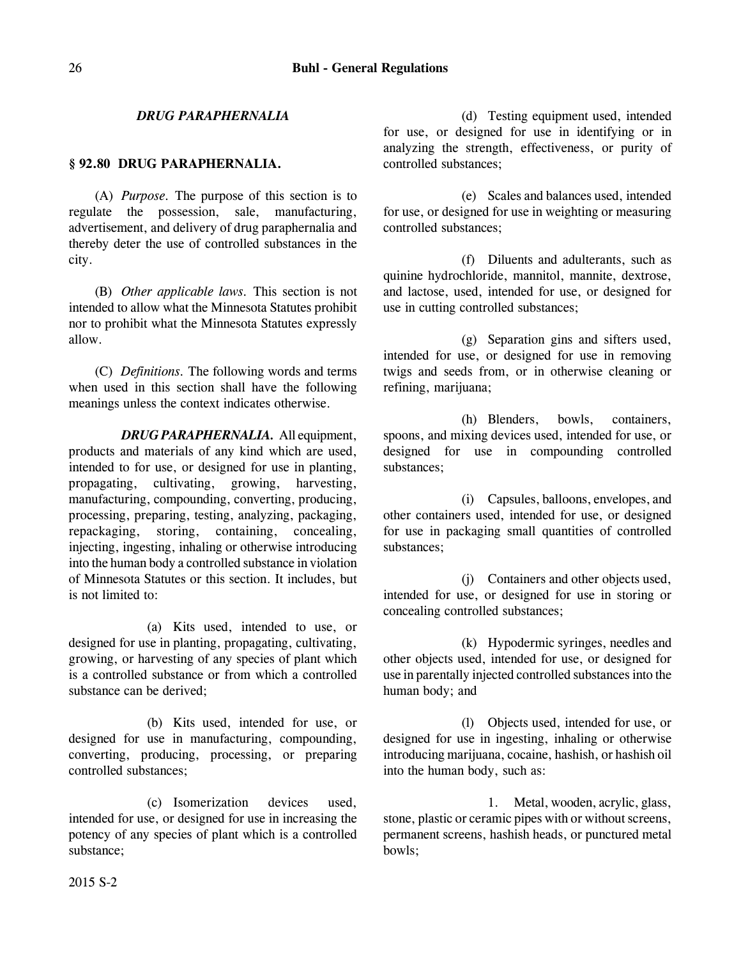# *DRUG PARAPHERNALIA*

## **§ 92.80 DRUG PARAPHERNALIA.**

(A) *Purpose.* The purpose of this section is to regulate the possession, sale, manufacturing, advertisement, and delivery of drug paraphernalia and thereby deter the use of controlled substances in the city.

(B) *Other applicable laws.* This section is not intended to allow what the Minnesota Statutes prohibit nor to prohibit what the Minnesota Statutes expressly allow.

(C) *Definitions.* The following words and terms when used in this section shall have the following meanings unless the context indicates otherwise.

*DRUG PARAPHERNALIA.* All equipment, products and materials of any kind which are used, intended to for use, or designed for use in planting, propagating, cultivating, growing, harvesting, manufacturing, compounding, converting, producing, processing, preparing, testing, analyzing, packaging, repackaging, storing, containing, concealing, injecting, ingesting, inhaling or otherwise introducing into the human body a controlled substance in violation of Minnesota Statutes or this section. It includes, but is not limited to:

(a) Kits used, intended to use, or designed for use in planting, propagating, cultivating, growing, or harvesting of any species of plant which is a controlled substance or from which a controlled substance can be derived;

(b) Kits used, intended for use, or designed for use in manufacturing, compounding, converting, producing, processing, or preparing controlled substances;

(c) Isomerization devices used, intended for use, or designed for use in increasing the potency of any species of plant which is a controlled substance;

(d) Testing equipment used, intended for use, or designed for use in identifying or in analyzing the strength, effectiveness, or purity of controlled substances;

(e) Scales and balances used, intended for use, or designed for use in weighting or measuring controlled substances;

(f) Diluents and adulterants, such as quinine hydrochloride, mannitol, mannite, dextrose, and lactose, used, intended for use, or designed for use in cutting controlled substances;

(g) Separation gins and sifters used, intended for use, or designed for use in removing twigs and seeds from, or in otherwise cleaning or refining, marijuana;

(h) Blenders, bowls, containers, spoons, and mixing devices used, intended for use, or designed for use in compounding controlled substances;

(i) Capsules, balloons, envelopes, and other containers used, intended for use, or designed for use in packaging small quantities of controlled substances;

(j) Containers and other objects used, intended for use, or designed for use in storing or concealing controlled substances;

(k) Hypodermic syringes, needles and other objects used, intended for use, or designed for use in parentally injected controlled substances into the human body; and

(l) Objects used, intended for use, or designed for use in ingesting, inhaling or otherwise introducing marijuana, cocaine, hashish, or hashish oil into the human body, such as:

1. Metal, wooden, acrylic, glass, stone, plastic or ceramic pipes with or without screens, permanent screens, hashish heads, or punctured metal bowls;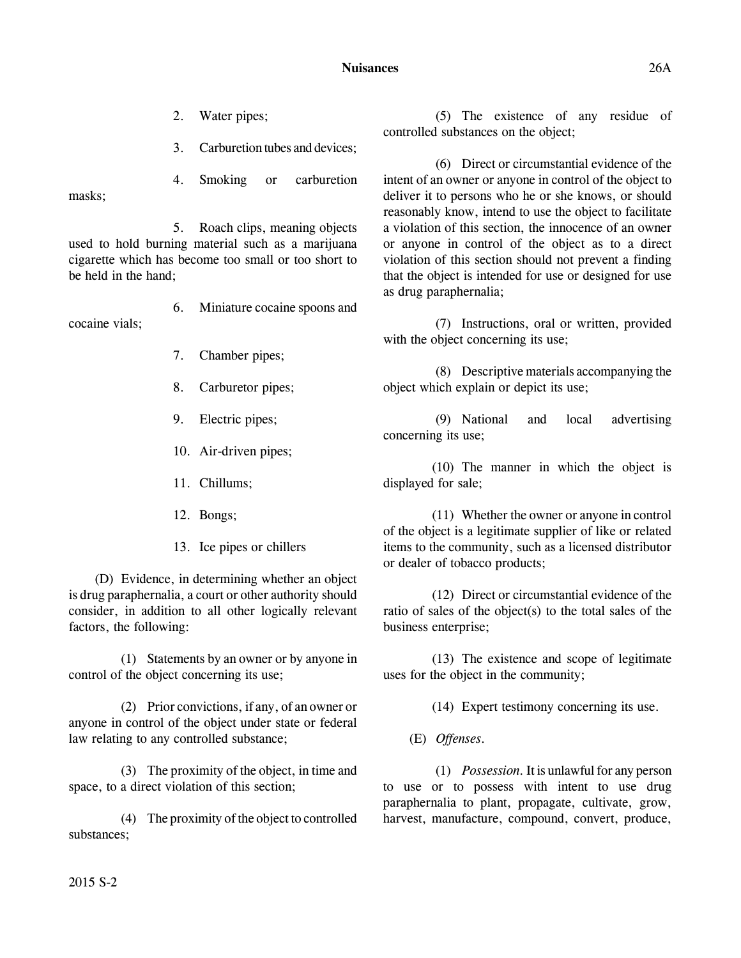- 2. Water pipes;
- 3. Carburetion tubes and devices;

4. Smoking or carburetion masks;

5. Roach clips, meaning objects used to hold burning material such as a marijuana cigarette which has become too small or too short to be held in the hand;

6. Miniature cocaine spoons and cocaine vials;

- 7. Chamber pipes;
- 8. Carburetor pipes;
- 9. Electric pipes;
- 10. Air-driven pipes;
- 11. Chillums;
- 12. Bongs;
- 13. Ice pipes or chillers

(D) Evidence, in determining whether an object is drug paraphernalia, a court or other authority should consider, in addition to all other logically relevant factors, the following:

(1) Statements by an owner or by anyone in control of the object concerning its use;

(2) Prior convictions, if any, of an owner or anyone in control of the object under state or federal law relating to any controlled substance;

(3) The proximity of the object, in time and space, to a direct violation of this section;

(4) The proximity of the object to controlled substances;

(5) The existence of any residue of controlled substances on the object;

(6) Direct or circumstantial evidence of the intent of an owner or anyone in control of the object to deliver it to persons who he or she knows, or should reasonably know, intend to use the object to facilitate a violation of this section, the innocence of an owner or anyone in control of the object as to a direct violation of this section should not prevent a finding that the object is intended for use or designed for use as drug paraphernalia;

(7) Instructions, oral or written, provided with the object concerning its use;

(8) Descriptive materials accompanying the object which explain or depict its use;

(9) National and local advertising concerning its use;

(10) The manner in which the object is displayed for sale;

(11) Whether the owner or anyone in control of the object is a legitimate supplier of like or related items to the community, such as a licensed distributor or dealer of tobacco products;

(12) Direct or circumstantial evidence of the ratio of sales of the object(s) to the total sales of the business enterprise;

(13) The existence and scope of legitimate uses for the object in the community;

(14) Expert testimony concerning its use.

(E) *Offenses.*

(1) *Possession.* It is unlawful for any person to use or to possess with intent to use drug paraphernalia to plant, propagate, cultivate, grow, harvest, manufacture, compound, convert, produce,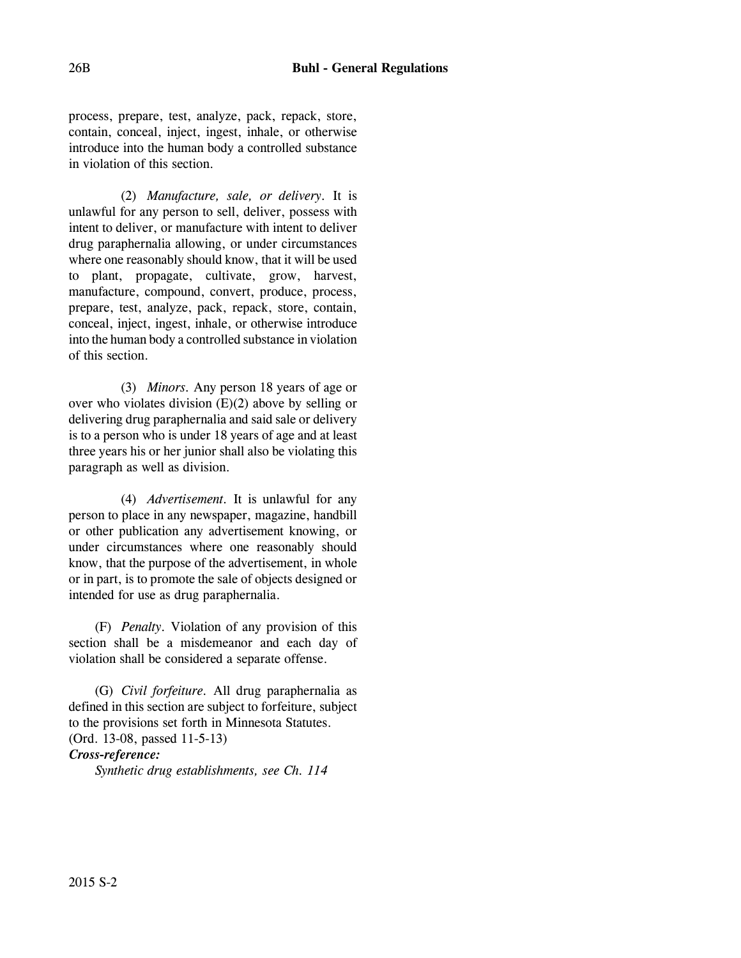process, prepare, test, analyze, pack, repack, store, contain, conceal, inject, ingest, inhale, or otherwise introduce into the human body a controlled substance in violation of this section.

(2) *Manufacture, sale, or delivery.* It is unlawful for any person to sell, deliver, possess with intent to deliver, or manufacture with intent to deliver drug paraphernalia allowing, or under circumstances where one reasonably should know, that it will be used to plant, propagate, cultivate, grow, harvest, manufacture, compound, convert, produce, process, prepare, test, analyze, pack, repack, store, contain, conceal, inject, ingest, inhale, or otherwise introduce into the human body a controlled substance in violation of this section.

(3) *Minors.* Any person 18 years of age or over who violates division  $(E)(2)$  above by selling or delivering drug paraphernalia and said sale or delivery is to a person who is under 18 years of age and at least three years his or her junior shall also be violating this paragraph as well as division.

(4) *Advertisement.* It is unlawful for any person to place in any newspaper, magazine, handbill or other publication any advertisement knowing, or under circumstances where one reasonably should know, that the purpose of the advertisement, in whole or in part, is to promote the sale of objects designed or intended for use as drug paraphernalia.

(F) *Penalty.* Violation of any provision of this section shall be a misdemeanor and each day of violation shall be considered a separate offense.

(G) *Civil forfeiture.* All drug paraphernalia as defined in this section are subject to forfeiture, subject to the provisions set forth in Minnesota Statutes. (Ord. 13-08, passed 11-5-13)

*Cross-reference:*

*Synthetic drug establishments, see Ch. 114*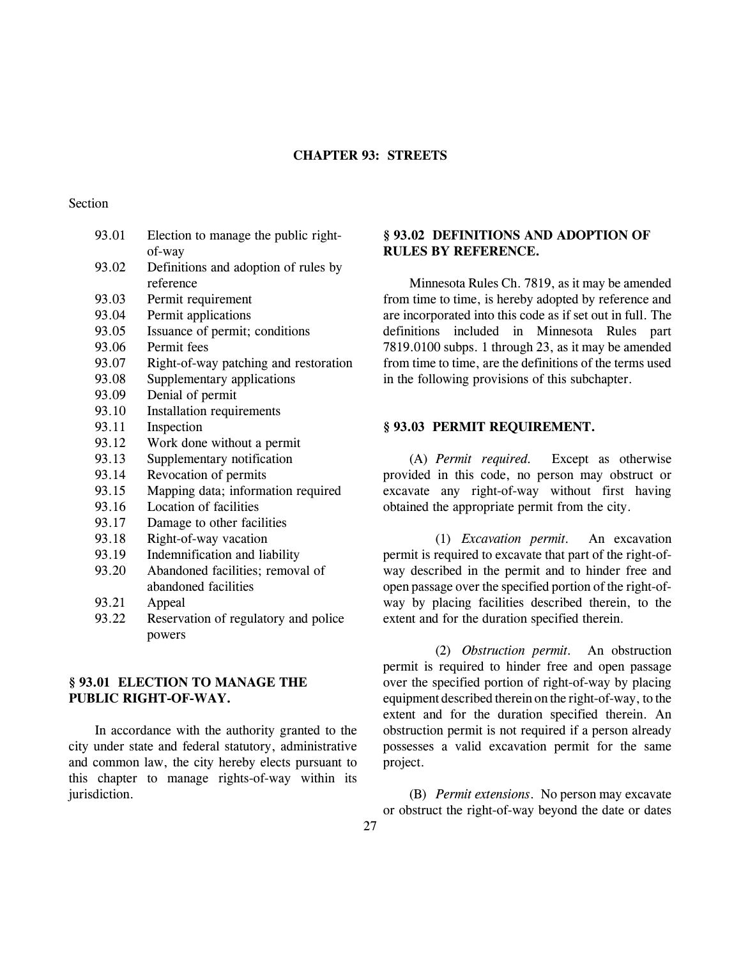### **CHAPTER 93: STREETS**

### Section

| 93.01 | Election to manage the public right-  |
|-------|---------------------------------------|
|       | of-way                                |
| 93.02 | Definitions and adoption of rules by  |
|       | reference                             |
| 93.03 | Permit requirement                    |
| 93.04 | Permit applications                   |
| 93.05 | Issuance of permit; conditions        |
| 93.06 | Permit fees                           |
| 93.07 | Right-of-way patching and restoration |
| 93.08 | Supplementary applications            |
| 93.09 | Denial of permit                      |
| 93.10 | Installation requirements             |
| 93.11 | Inspection                            |
| 93.12 | Work done without a permit            |
| 93.13 | Supplementary notification            |
| 93.14 | Revocation of permits                 |
| 93.15 | Mapping data; information required    |
| 93.16 | Location of facilities                |
| 93.17 | Damage to other facilities            |
| 93.18 | Right-of-way vacation                 |
| 93.19 | Indemnification and liability         |
| 93.20 | Abandoned facilities; removal of      |
|       | abandoned facilities                  |
| 93.21 | Appeal                                |
| 93.22 | Reservation of regulatory and police  |
|       | powers                                |

# **§ 93.01 ELECTION TO MANAGE THE PUBLIC RIGHT-OF-WAY.**

In accordance with the authority granted to the city under state and federal statutory, administrative and common law, the city hereby elects pursuant to this chapter to manage rights-of-way within its jurisdiction.

# **§ 93.02 DEFINITIONS AND ADOPTION OF RULES BY REFERENCE.**

Minnesota Rules Ch. 7819, as it may be amended from time to time, is hereby adopted by reference and are incorporated into this code as if set out in full. The definitions included in Minnesota Rules part 7819.0100 subps. 1 through 23, as it may be amended from time to time, are the definitions of the terms used in the following provisions of this subchapter.

## **§ 93.03 PERMIT REQUIREMENT.**

(A) *Permit required.* Except as otherwise provided in this code, no person may obstruct or excavate any right-of-way without first having obtained the appropriate permit from the city.

(1) *Excavation permit.* An excavation permit is required to excavate that part of the right-ofway described in the permit and to hinder free and open passage over the specified portion of the right-ofway by placing facilities described therein, to the extent and for the duration specified therein.

(2) *Obstruction permit.* An obstruction permit is required to hinder free and open passage over the specified portion of right-of-way by placing equipment described therein on the right-of-way, to the extent and for the duration specified therein. An obstruction permit is not required if a person already possesses a valid excavation permit for the same project.

(B) *Permit extensions*. No person may excavate or obstruct the right-of-way beyond the date or dates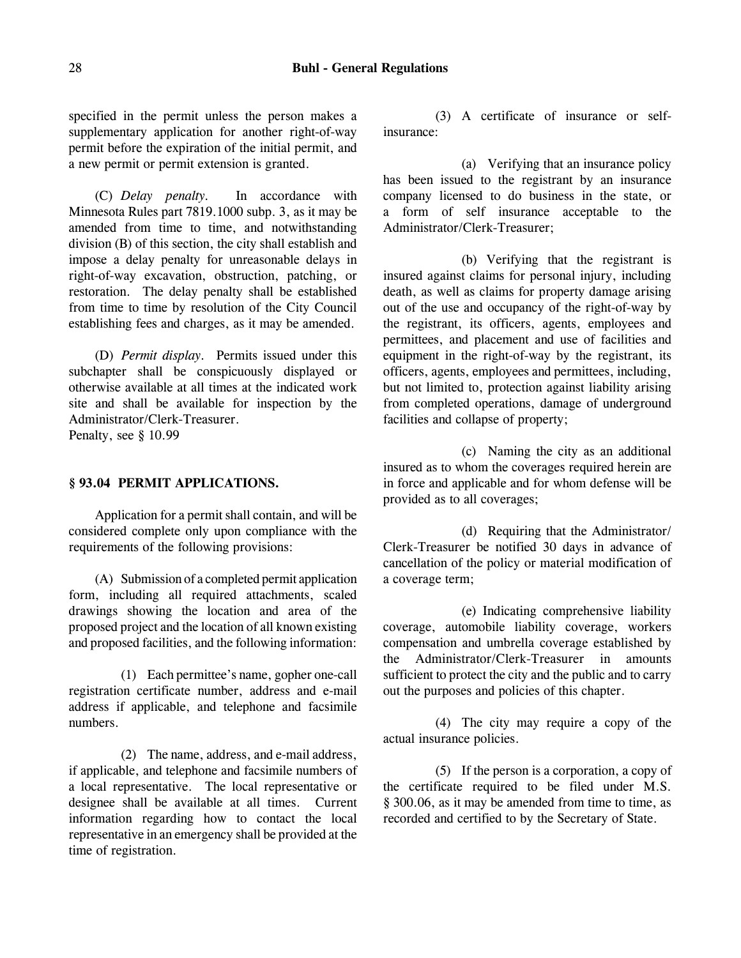specified in the permit unless the person makes a supplementary application for another right-of-way permit before the expiration of the initial permit, and a new permit or permit extension is granted.

(C) *Delay penalty.* In accordance with Minnesota Rules part 7819.1000 subp. 3, as it may be amended from time to time, and notwithstanding division (B) of this section, the city shall establish and impose a delay penalty for unreasonable delays in right-of-way excavation, obstruction, patching, or restoration. The delay penalty shall be established from time to time by resolution of the City Council establishing fees and charges, as it may be amended.

(D) *Permit display.* Permits issued under this subchapter shall be conspicuously displayed or otherwise available at all times at the indicated work site and shall be available for inspection by the Administrator/Clerk-Treasurer. Penalty, see § 10.99

## **§ 93.04 PERMIT APPLICATIONS.**

Application for a permit shall contain, and will be considered complete only upon compliance with the requirements of the following provisions:

(A) Submission of a completed permit application form, including all required attachments, scaled drawings showing the location and area of the proposed project and the location of all known existing and proposed facilities, and the following information:

(1) Each permittee's name, gopher one-call registration certificate number, address and e-mail address if applicable, and telephone and facsimile numbers.

(2) The name, address, and e-mail address, if applicable, and telephone and facsimile numbers of a local representative. The local representative or designee shall be available at all times. Current information regarding how to contact the local representative in an emergency shall be provided at the time of registration.

(3) A certificate of insurance or selfinsurance:

(a) Verifying that an insurance policy has been issued to the registrant by an insurance company licensed to do business in the state, or a form of self insurance acceptable to the Administrator/Clerk-Treasurer;

(b) Verifying that the registrant is insured against claims for personal injury, including death, as well as claims for property damage arising out of the use and occupancy of the right-of-way by the registrant, its officers, agents, employees and permittees, and placement and use of facilities and equipment in the right-of-way by the registrant, its officers, agents, employees and permittees, including, but not limited to, protection against liability arising from completed operations, damage of underground facilities and collapse of property;

(c) Naming the city as an additional insured as to whom the coverages required herein are in force and applicable and for whom defense will be provided as to all coverages;

(d) Requiring that the Administrator/ Clerk-Treasurer be notified 30 days in advance of cancellation of the policy or material modification of a coverage term;

(e) Indicating comprehensive liability coverage, automobile liability coverage, workers compensation and umbrella coverage established by the Administrator/Clerk-Treasurer in amounts sufficient to protect the city and the public and to carry out the purposes and policies of this chapter.

(4) The city may require a copy of the actual insurance policies.

(5) If the person is a corporation, a copy of the certificate required to be filed under M.S. § 300.06, as it may be amended from time to time, as recorded and certified to by the Secretary of State.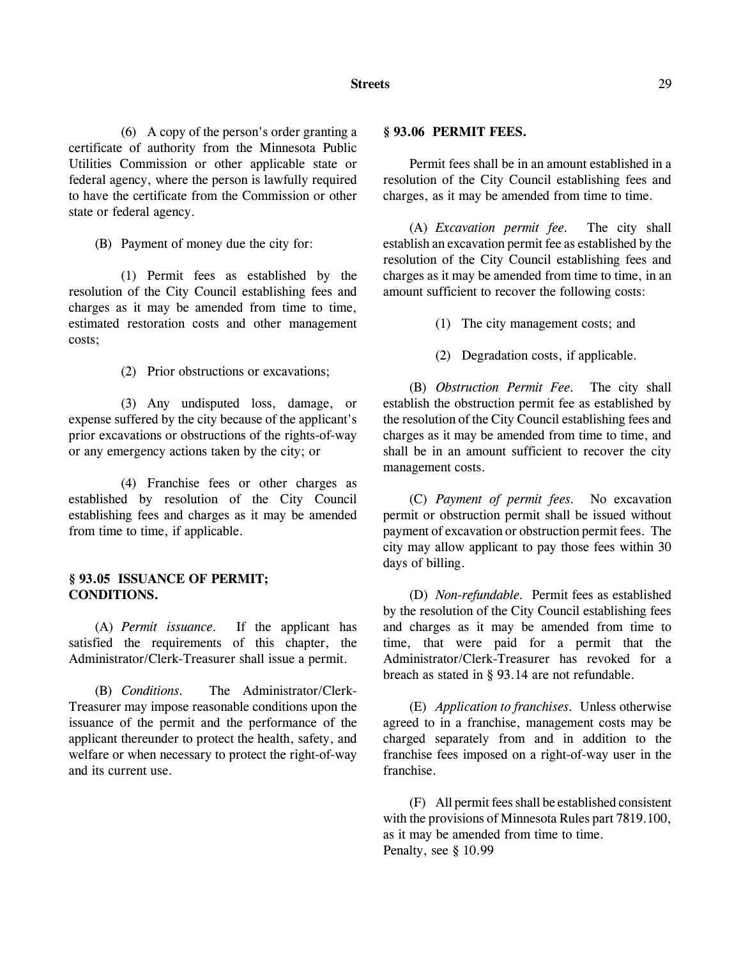(6) A copy of the person's order granting a certificate of authority from the Minnesota Public Utilities Commission or other applicable state or federal agency, where the person is lawfully required to have the certificate from the Commission or other state or federal agency.

(B) Payment of money due the city for:

(1) Permit fees as established by the resolution of the City Council establishing fees and charges as it may be amended from time to time, estimated restoration costs and other management costs;

(2) Prior obstructions or excavations;

(3) Any undisputed loss, damage, or expense suffered by the city because of the applicant's prior excavations or obstructions of the rights-of-way or any emergency actions taken by the city; or

(4) Franchise fees or other charges as established by resolution of the City Council establishing fees and charges as it may be amended from time to time, if applicable.

# **§ 93.05 ISSUANCE OF PERMIT; CONDITIONS.**

(A) *Permit issuance.* If the applicant has satisfied the requirements of this chapter, the Administrator/Clerk-Treasurer shall issue a permit.

(B) *Conditions.* The Administrator/Clerk-Treasurer may impose reasonable conditions upon the issuance of the permit and the performance of the applicant thereunder to protect the health, safety, and welfare or when necessary to protect the right-of-way and its current use.

### **§ 93.06 PERMIT FEES.**

Permit fees shall be in an amount established in a resolution of the City Council establishing fees and charges, as it may be amended from time to time.

(A) *Excavation permit fee.* The city shall establish an excavation permit fee as established by the resolution of the City Council establishing fees and charges as it may be amended from time to time, in an amount sufficient to recover the following costs:

- (1) The city management costs; and
- (2) Degradation costs, if applicable.

(B) *Obstruction Permit Fee.* The city shall establish the obstruction permit fee as established by the resolution of the City Council establishing fees and charges as it may be amended from time to time, and shall be in an amount sufficient to recover the city management costs.

(C) *Payment of permit fees.* No excavation permit or obstruction permit shall be issued without payment of excavation or obstruction permit fees. The city may allow applicant to pay those fees within 30 days of billing.

(D) *Non-refundable.* Permit fees as established by the resolution of the City Council establishing fees and charges as it may be amended from time to time, that were paid for a permit that the Administrator/Clerk-Treasurer has revoked for a breach as stated in § 93.14 are not refundable.

(E) *Application to franchises.* Unless otherwise agreed to in a franchise, management costs may be charged separately from and in addition to the franchise fees imposed on a right-of-way user in the franchise.

(F) All permit fees shall be established consistent with the provisions of Minnesota Rules part 7819.100, as it may be amended from time to time. Penalty, see § 10.99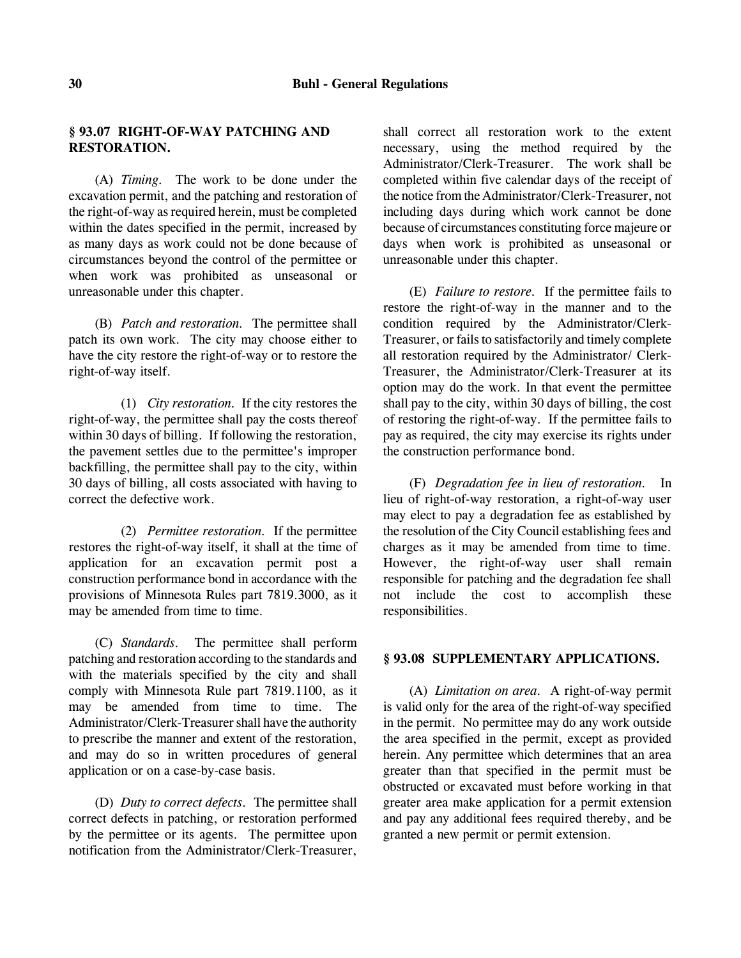# **§ 93.07 RIGHT-OF-WAY PATCHING AND RESTORATION.**

(A) *Timing.* The work to be done under the excavation permit, and the patching and restoration of the right-of-way as required herein, must be completed within the dates specified in the permit, increased by as many days as work could not be done because of circumstances beyond the control of the permittee or when work was prohibited as unseasonal or unreasonable under this chapter.

(B) *Patch and restoration.* The permittee shall patch its own work. The city may choose either to have the city restore the right-of-way or to restore the right-of-way itself.

(1) *City restoration.* If the city restores the right-of-way, the permittee shall pay the costs thereof within 30 days of billing. If following the restoration, the pavement settles due to the permittee's improper backfilling, the permittee shall pay to the city, within 30 days of billing, all costs associated with having to correct the defective work.

(2) *Permittee restoration.* If the permittee restores the right-of-way itself, it shall at the time of application for an excavation permit post a construction performance bond in accordance with the provisions of Minnesota Rules part 7819.3000, as it may be amended from time to time.

(C) *Standards.* The permittee shall perform patching and restoration according to the standards and with the materials specified by the city and shall comply with Minnesota Rule part 7819.1100, as it may be amended from time to time. The Administrator/Clerk-Treasurer shall have the authority to prescribe the manner and extent of the restoration, and may do so in written procedures of general application or on a case-by-case basis.

(D) *Duty to correct defects.* The permittee shall correct defects in patching, or restoration performed by the permittee or its agents. The permittee upon notification from the Administrator/Clerk-Treasurer,

shall correct all restoration work to the extent necessary, using the method required by the Administrator/Clerk-Treasurer. The work shall be completed within five calendar days of the receipt of the notice from the Administrator/Clerk-Treasurer, not including days during which work cannot be done because of circumstances constituting force majeure or days when work is prohibited as unseasonal or unreasonable under this chapter.

(E) *Failure to restore.* If the permittee fails to restore the right-of-way in the manner and to the condition required by the Administrator/Clerk-Treasurer, or fails to satisfactorily and timely complete all restoration required by the Administrator/ Clerk-Treasurer, the Administrator/Clerk-Treasurer at its option may do the work. In that event the permittee shall pay to the city, within 30 days of billing, the cost of restoring the right-of-way. If the permittee fails to pay as required, the city may exercise its rights under the construction performance bond.

(F) *Degradation fee in lieu of restoration.* In lieu of right-of-way restoration, a right-of-way user may elect to pay a degradation fee as established by the resolution of the City Council establishing fees and charges as it may be amended from time to time. However, the right-of-way user shall remain responsible for patching and the degradation fee shall not include the cost to accomplish these responsibilities.

# **§ 93.08 SUPPLEMENTARY APPLICATIONS.**

(A) *Limitation on area.* A right-of-way permit is valid only for the area of the right-of-way specified in the permit. No permittee may do any work outside the area specified in the permit, except as provided herein. Any permittee which determines that an area greater than that specified in the permit must be obstructed or excavated must before working in that greater area make application for a permit extension and pay any additional fees required thereby, and be granted a new permit or permit extension.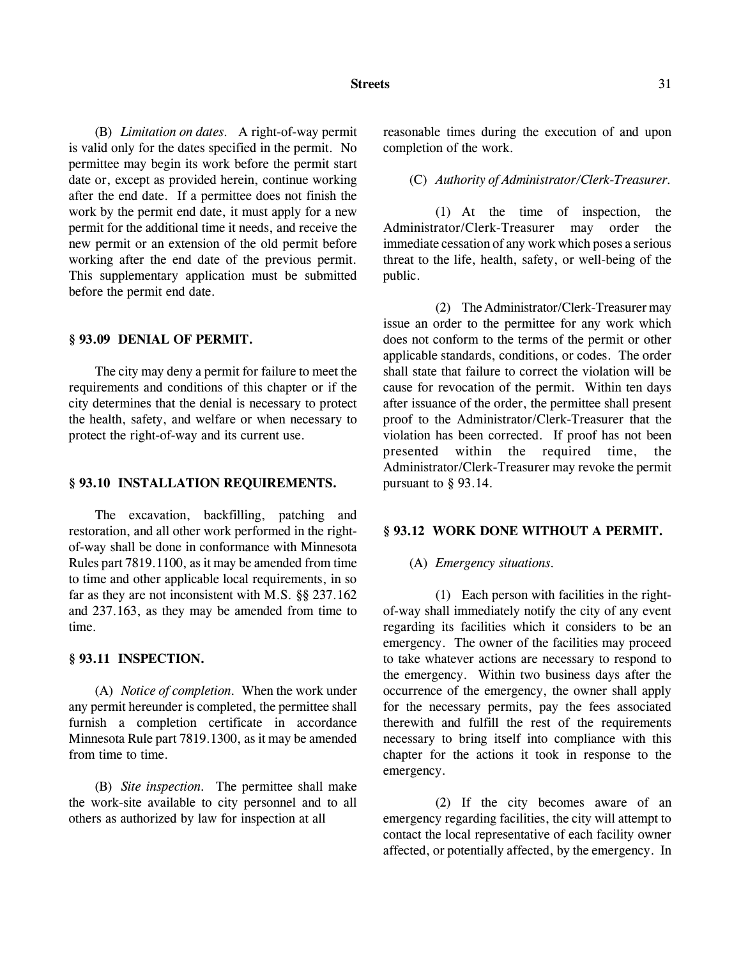#### **Streets** 31

(B) *Limitation on dates.* A right-of-way permit is valid only for the dates specified in the permit. No permittee may begin its work before the permit start date or, except as provided herein, continue working after the end date. If a permittee does not finish the work by the permit end date, it must apply for a new permit for the additional time it needs, and receive the new permit or an extension of the old permit before working after the end date of the previous permit. This supplementary application must be submitted before the permit end date.

# **§ 93.09 DENIAL OF PERMIT.**

The city may deny a permit for failure to meet the requirements and conditions of this chapter or if the city determines that the denial is necessary to protect the health, safety, and welfare or when necessary to protect the right-of-way and its current use.

#### **§ 93.10 INSTALLATION REQUIREMENTS.**

The excavation, backfilling, patching and restoration, and all other work performed in the rightof-way shall be done in conformance with Minnesota Rules part 7819.1100, as it may be amended from time to time and other applicable local requirements, in so far as they are not inconsistent with M.S. §§ 237.162 and 237.163, as they may be amended from time to time.

## **§ 93.11 INSPECTION.**

(A) *Notice of completion.* When the work under any permit hereunder is completed, the permittee shall furnish a completion certificate in accordance Minnesota Rule part 7819.1300, as it may be amended from time to time.

(B) *Site inspection.* The permittee shall make the work-site available to city personnel and to all others as authorized by law for inspection at all

reasonable times during the execution of and upon completion of the work.

## (C) *Authority of Administrator/Clerk-Treasurer.*

(1) At the time of inspection, the Administrator/Clerk-Treasurer may order the immediate cessation of any work which poses a serious threat to the life, health, safety, or well-being of the public.

(2) The Administrator/Clerk-Treasurer may issue an order to the permittee for any work which does not conform to the terms of the permit or other applicable standards, conditions, or codes. The order shall state that failure to correct the violation will be cause for revocation of the permit. Within ten days after issuance of the order, the permittee shall present proof to the Administrator/Clerk-Treasurer that the violation has been corrected. If proof has not been presented within the required time, the Administrator/Clerk-Treasurer may revoke the permit pursuant to § 93.14.

#### **§ 93.12 WORK DONE WITHOUT A PERMIT.**

### (A) *Emergency situations.*

(1) Each person with facilities in the rightof-way shall immediately notify the city of any event regarding its facilities which it considers to be an emergency. The owner of the facilities may proceed to take whatever actions are necessary to respond to the emergency. Within two business days after the occurrence of the emergency, the owner shall apply for the necessary permits, pay the fees associated therewith and fulfill the rest of the requirements necessary to bring itself into compliance with this chapter for the actions it took in response to the emergency.

(2) If the city becomes aware of an emergency regarding facilities, the city will attempt to contact the local representative of each facility owner affected, or potentially affected, by the emergency. In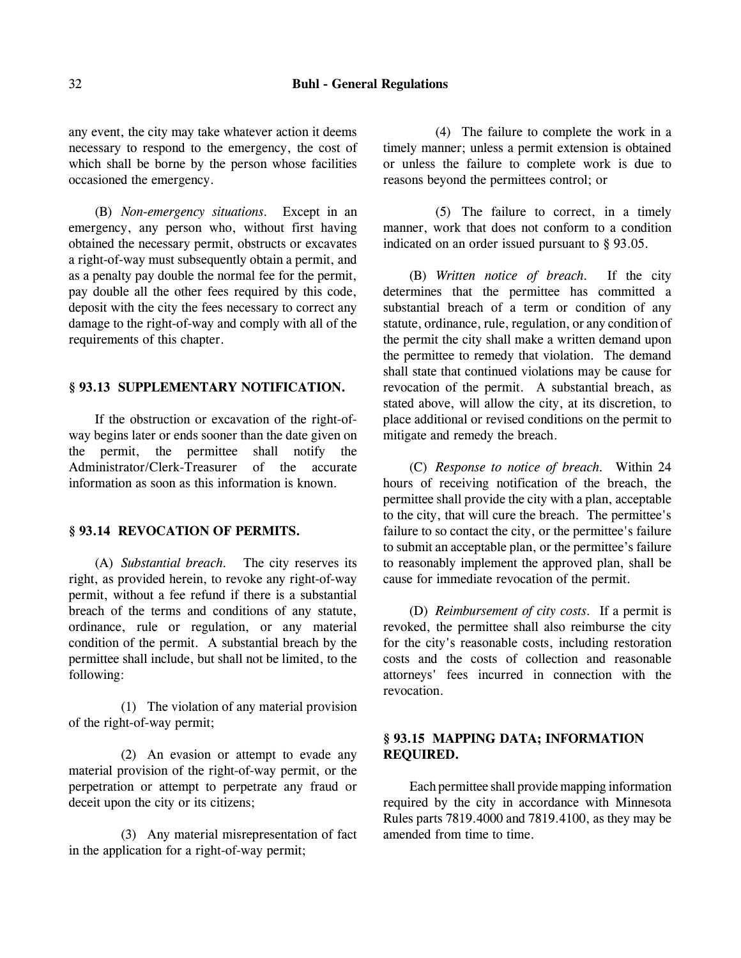any event, the city may take whatever action it deems necessary to respond to the emergency, the cost of which shall be borne by the person whose facilities occasioned the emergency.

(B) *Non-emergency situations.* Except in an emergency, any person who, without first having obtained the necessary permit, obstructs or excavates a right-of-way must subsequently obtain a permit, and as a penalty pay double the normal fee for the permit, pay double all the other fees required by this code, deposit with the city the fees necessary to correct any damage to the right-of-way and comply with all of the requirements of this chapter.

## **§ 93.13 SUPPLEMENTARY NOTIFICATION.**

If the obstruction or excavation of the right-ofway begins later or ends sooner than the date given on the permit, the permittee shall notify the Administrator/Clerk-Treasurer of the accurate information as soon as this information is known.

#### **§ 93.14 REVOCATION OF PERMITS.**

(A) *Substantial breach.* The city reserves its right, as provided herein, to revoke any right-of-way permit, without a fee refund if there is a substantial breach of the terms and conditions of any statute, ordinance, rule or regulation, or any material condition of the permit. A substantial breach by the permittee shall include, but shall not be limited, to the following:

(1) The violation of any material provision of the right-of-way permit;

(2) An evasion or attempt to evade any material provision of the right-of-way permit, or the perpetration or attempt to perpetrate any fraud or deceit upon the city or its citizens;

(3) Any material misrepresentation of fact in the application for a right-of-way permit;

(4) The failure to complete the work in a timely manner; unless a permit extension is obtained or unless the failure to complete work is due to reasons beyond the permittees control; or

(5) The failure to correct, in a timely manner, work that does not conform to a condition indicated on an order issued pursuant to § 93.05.

(B) *Written notice of breach.* If the city determines that the permittee has committed a substantial breach of a term or condition of any statute, ordinance, rule, regulation, or any condition of the permit the city shall make a written demand upon the permittee to remedy that violation. The demand shall state that continued violations may be cause for revocation of the permit. A substantial breach, as stated above, will allow the city, at its discretion, to place additional or revised conditions on the permit to mitigate and remedy the breach.

(C) *Response to notice of breach.* Within 24 hours of receiving notification of the breach, the permittee shall provide the city with a plan, acceptable to the city, that will cure the breach. The permittee's failure to so contact the city, or the permittee's failure to submit an acceptable plan, or the permittee's failure to reasonably implement the approved plan, shall be cause for immediate revocation of the permit.

(D) *Reimbursement of city costs.* If a permit is revoked, the permittee shall also reimburse the city for the city's reasonable costs, including restoration costs and the costs of collection and reasonable attorneys' fees incurred in connection with the revocation.

# **§ 93.15 MAPPING DATA; INFORMATION REQUIRED.**

Each permittee shall provide mapping information required by the city in accordance with Minnesota Rules parts 7819.4000 and 7819.4100, as they may be amended from time to time.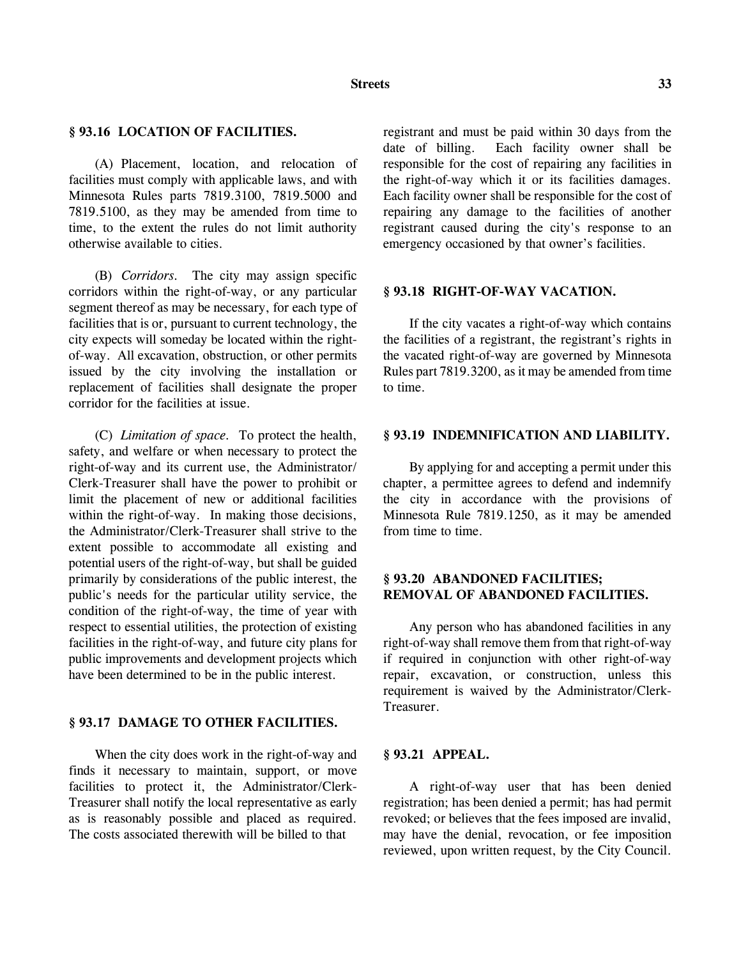### **§ 93.16 LOCATION OF FACILITIES.**

(A) Placement, location, and relocation of facilities must comply with applicable laws, and with Minnesota Rules parts 7819.3100, 7819.5000 and 7819.5100, as they may be amended from time to time, to the extent the rules do not limit authority otherwise available to cities.

(B) *Corridors.* The city may assign specific corridors within the right-of-way, or any particular segment thereof as may be necessary, for each type of facilities that is or, pursuant to current technology, the city expects will someday be located within the rightof-way. All excavation, obstruction, or other permits issued by the city involving the installation or replacement of facilities shall designate the proper corridor for the facilities at issue.

(C) *Limitation of space.* To protect the health, safety, and welfare or when necessary to protect the right-of-way and its current use, the Administrator/ Clerk-Treasurer shall have the power to prohibit or limit the placement of new or additional facilities within the right-of-way. In making those decisions, the Administrator/Clerk-Treasurer shall strive to the extent possible to accommodate all existing and potential users of the right-of-way, but shall be guided primarily by considerations of the public interest, the public's needs for the particular utility service, the condition of the right-of-way, the time of year with respect to essential utilities, the protection of existing facilities in the right-of-way, and future city plans for public improvements and development projects which have been determined to be in the public interest.

#### **§ 93.17 DAMAGE TO OTHER FACILITIES.**

When the city does work in the right-of-way and finds it necessary to maintain, support, or move facilities to protect it, the Administrator/Clerk-Treasurer shall notify the local representative as early as is reasonably possible and placed as required. The costs associated therewith will be billed to that

registrant and must be paid within 30 days from the date of billing. Each facility owner shall be responsible for the cost of repairing any facilities in the right-of-way which it or its facilities damages. Each facility owner shall be responsible for the cost of repairing any damage to the facilities of another registrant caused during the city's response to an emergency occasioned by that owner's facilities.

#### **§ 93.18 RIGHT-OF-WAY VACATION.**

If the city vacates a right-of-way which contains the facilities of a registrant, the registrant's rights in the vacated right-of-way are governed by Minnesota Rules part 7819.3200, as it may be amended from time to time.

# **§ 93.19 INDEMNIFICATION AND LIABILITY.**

By applying for and accepting a permit under this chapter, a permittee agrees to defend and indemnify the city in accordance with the provisions of Minnesota Rule 7819.1250, as it may be amended from time to time.

# **§ 93.20 ABANDONED FACILITIES; REMOVAL OF ABANDONED FACILITIES.**

Any person who has abandoned facilities in any right-of-way shall remove them from that right-of-way if required in conjunction with other right-of-way repair, excavation, or construction, unless this requirement is waived by the Administrator/Clerk-Treasurer.

### **§ 93.21 APPEAL.**

A right-of-way user that has been denied registration; has been denied a permit; has had permit revoked; or believes that the fees imposed are invalid, may have the denial, revocation, or fee imposition reviewed, upon written request, by the City Council.